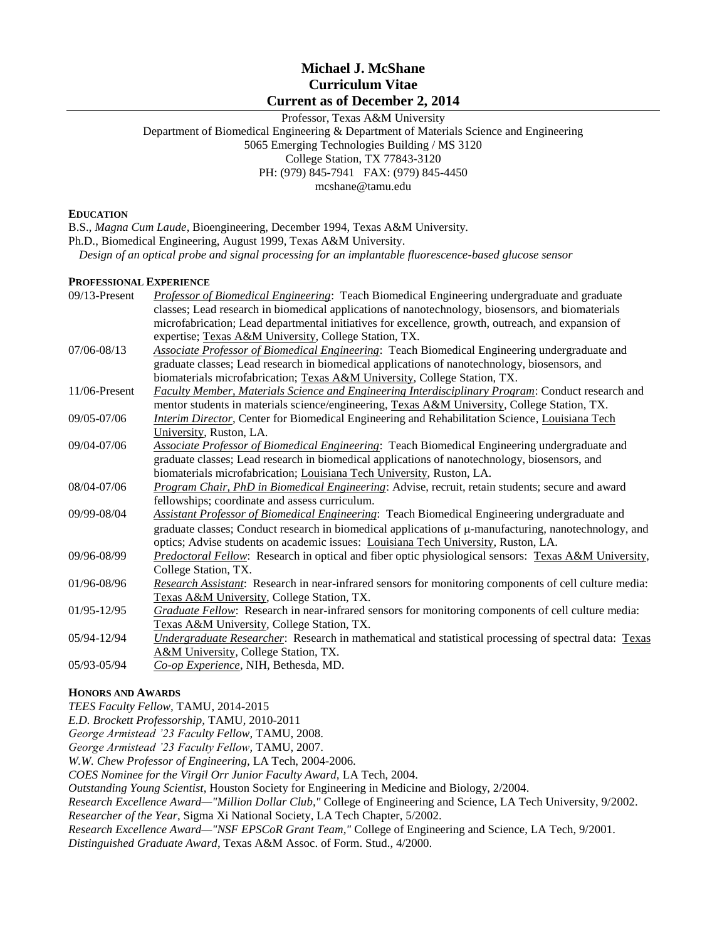## **Michael J. McShane Curriculum Vitae Current as of December 2, 2014**

Professor, Texas A&M University Department of Biomedical Engineering & Department of Materials Science and Engineering 5065 Emerging Technologies Building / MS 3120 College Station, TX 77843-3120 PH: (979) 845-7941 FAX: (979) 845-4450 mcshane@tamu.edu

#### **EDUCATION**

B.S., *Magna Cum Laude*, Bioengineering, December 1994, Texas A&M University.

Ph.D., Biomedical Engineering, August 1999, Texas A&M University.

*Design of an optical probe and signal processing for an implantable fluorescence-based glucose sensor*

### **PROFESSIONAL EXPERIENCE**

| $09/13$ -Present | Professor of Biomedical Engineering: Teach Biomedical Engineering undergraduate and graduate               |  |  |
|------------------|------------------------------------------------------------------------------------------------------------|--|--|
|                  | classes; Lead research in biomedical applications of nanotechnology, biosensors, and biomaterials          |  |  |
|                  | microfabrication; Lead departmental initiatives for excellence, growth, outreach, and expansion of         |  |  |
|                  | expertise; Texas A&M University, College Station, TX.                                                      |  |  |
| 07/06-08/13      | <b>Associate Professor of Biomedical Engineering:</b> Teach Biomedical Engineering undergraduate and       |  |  |
|                  | graduate classes; Lead research in biomedical applications of nanotechnology, biosensors, and              |  |  |
|                  | biomaterials microfabrication; Texas A&M University, College Station, TX.                                  |  |  |
| 11/06-Present    | Faculty Member, Materials Science and Engineering Interdisciplinary Program: Conduct research and          |  |  |
|                  | mentor students in materials science/engineering, Texas A&M University, College Station, TX.               |  |  |
| 09/05-07/06      | Interim Director, Center for Biomedical Engineering and Rehabilitation Science, Louisiana Tech             |  |  |
|                  | University, Ruston, LA.                                                                                    |  |  |
| 09/04-07/06      | <b>Associate Professor of Biomedical Engineering:</b> Teach Biomedical Engineering undergraduate and       |  |  |
|                  | graduate classes; Lead research in biomedical applications of nanotechnology, biosensors, and              |  |  |
|                  | biomaterials microfabrication; Louisiana Tech University, Ruston, LA.                                      |  |  |
| 08/04-07/06      | Program Chair, PhD in Biomedical Engineering: Advise, recruit, retain students; secure and award           |  |  |
|                  | fellowships; coordinate and assess curriculum.                                                             |  |  |
| 09/99-08/04      | <b>Assistant Professor of Biomedical Engineering:</b> Teach Biomedical Engineering undergraduate and       |  |  |
|                  | graduate classes; Conduct research in biomedical applications of $\mu$ -manufacturing, nanotechnology, and |  |  |
|                  | optics; Advise students on academic issues: Louisiana Tech University, Ruston, LA.                         |  |  |
| 09/96-08/99      | Predoctoral Fellow: Research in optical and fiber optic physiological sensors: Texas A&M University,       |  |  |
|                  | College Station, TX.                                                                                       |  |  |
| 01/96-08/96      | Research Assistant: Research in near-infrared sensors for monitoring components of cell culture media:     |  |  |
|                  | Texas A&M University, College Station, TX.                                                                 |  |  |
| 01/95-12/95      | Graduate Fellow: Research in near-infrared sensors for monitoring components of cell culture media:        |  |  |
|                  | Texas A&M University, College Station, TX.                                                                 |  |  |
| 05/94-12/94      | Undergraduate Researcher: Research in mathematical and statistical processing of spectral data: Texas      |  |  |
|                  | A&M University, College Station, TX.                                                                       |  |  |
| 05/93-05/94      | Co-op Experience, NIH, Bethesda, MD.                                                                       |  |  |
|                  |                                                                                                            |  |  |

## **HONORS AND AWARDS**

*TEES Faculty Fellow,* TAMU, 2014-2015

*E.D. Brockett Professorship,* TAMU, 2010-2011

*George Armistead '23 Faculty Fellow,* TAMU, 2008.

*George Armistead '23 Faculty Fellow,* TAMU, 2007.

*W.W. Chew Professor of Engineering,* LA Tech, 2004-2006.

*COES Nominee for the Virgil Orr Junior Faculty Award,* LA Tech, 2004.

*Outstanding Young Scientist*, Houston Society for Engineering in Medicine and Biology, 2/2004.

*Research Excellence Award—"Million Dollar Club,"* College of Engineering and Science, LA Tech University, 9/2002.

*Researcher of the Year*, Sigma Xi National Society, LA Tech Chapter, 5/2002.

*Research Excellence Award—"NSF EPSCoR Grant Team,"* College of Engineering and Science, LA Tech, 9/2001.

*Distinguished Graduate Award*, Texas A&M Assoc. of Form. Stud., 4/2000.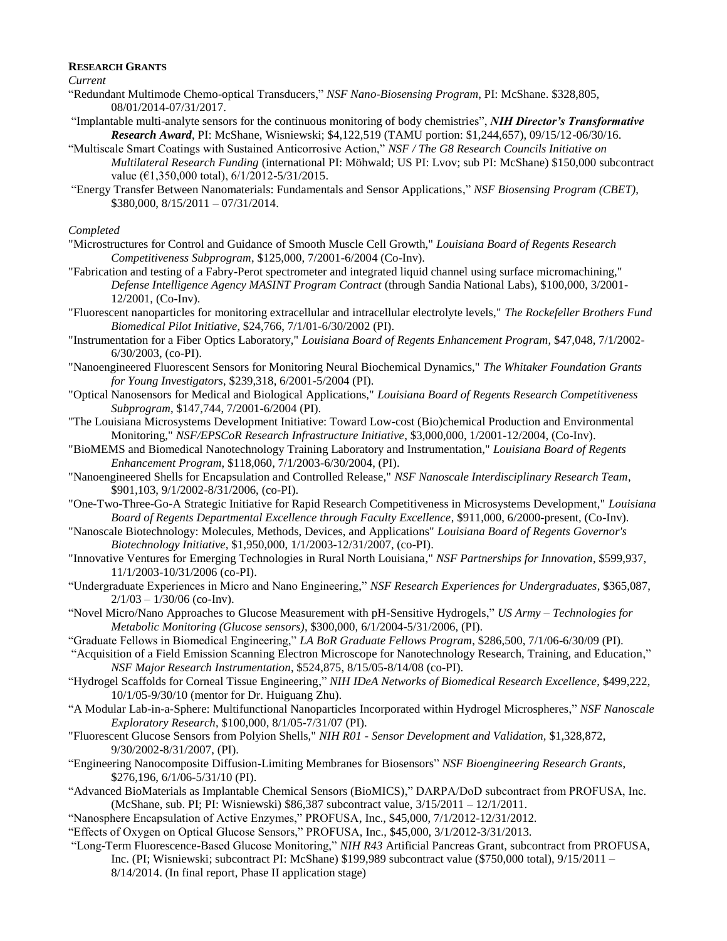#### **RESEARCH GRANTS**

*Current*

- "Redundant Multimode Chemo-optical Transducers," *NSF Nano-Biosensing Program*, PI: McShane. \$328,805, 08/01/2014-07/31/2017.
- "Implantable multi-analyte sensors for the continuous monitoring of body chemistries", *NIH Director's Transformative Research Award*, PI: McShane, Wisniewski; \$4,122,519 (TAMU portion: \$1,244,657), 09/15/12-06/30/16.
- "Multiscale Smart Coatings with Sustained Anticorrosive Action," *NSF / The G8 Research Councils Initiative on Multilateral Research Funding* (international PI: Möhwald; US PI: Lvov; sub PI: McShane) \$150,000 subcontract value ( $\epsilon$ 1,350,000 total),  $6/1/2012 - 5/31/2015$ .
- "Energy Transfer Between Nanomaterials: Fundamentals and Sensor Applications," *NSF Biosensing Program (CBET)*, \$380,000, 8/15/2011 – 07/31/2014.

#### *Completed*

- "Microstructures for Control and Guidance of Smooth Muscle Cell Growth," *Louisiana Board of Regents Research Competitiveness Subprogram*, \$125,000, 7/2001-6/2004 (Co-Inv).
- "Fabrication and testing of a Fabry-Perot spectrometer and integrated liquid channel using surface micromachining," *Defense Intelligence Agency MASINT Program Contract* (through Sandia National Labs), \$100,000, 3/2001- 12/2001, (Co-Inv).
- "Fluorescent nanoparticles for monitoring extracellular and intracellular electrolyte levels," *The Rockefeller Brothers Fund Biomedical Pilot Initiative*, \$24,766, 7/1/01-6/30/2002 (PI).
- "Instrumentation for a Fiber Optics Laboratory," *Louisiana Board of Regents Enhancement Program*, \$47,048, 7/1/2002- 6/30/2003, (co-PI).
- "Nanoengineered Fluorescent Sensors for Monitoring Neural Biochemical Dynamics," *The Whitaker Foundation Grants for Young Investigators*, \$239,318, 6/2001-5/2004 (PI).
- "Optical Nanosensors for Medical and Biological Applications," *Louisiana Board of Regents Research Competitiveness Subprogram*, \$147,744, 7/2001-6/2004 (PI).
- "The Louisiana Microsystems Development Initiative: Toward Low-cost (Bio)chemical Production and Environmental Monitoring," *NSF/EPSCoR Research Infrastructure Initiative*, \$3,000,000, 1/2001-12/2004, (Co-Inv).
- "BioMEMS and Biomedical Nanotechnology Training Laboratory and Instrumentation," *Louisiana Board of Regents Enhancement Program*, \$118,060, 7/1/2003-6/30/2004, (PI).
- "Nanoengineered Shells for Encapsulation and Controlled Release," *NSF Nanoscale Interdisciplinary Research Team*, \$901,103, 9/1/2002-8/31/2006, (co-PI).
- "One-Two-Three-Go-A Strategic Initiative for Rapid Research Competitiveness in Microsystems Development," *Louisiana Board of Regents Departmental Excellence through Faculty Excellence*, \$911,000, 6/2000-present, (Co-Inv).
- "Nanoscale Biotechnology: Molecules, Methods, Devices, and Applications" *Louisiana Board of Regents Governor's Biotechnology Initiative,* \$1,950,000, 1/1/2003-12/31/2007, (co-PI).
- "Innovative Ventures for Emerging Technologies in Rural North Louisiana," *NSF Partnerships for Innovation*, \$599,937, 11/1/2003-10/31/2006 (co-PI).
- "Undergraduate Experiences in Micro and Nano Engineering," *NSF Research Experiences for Undergraduates*, \$365,087,  $2/1/03 - 1/30/06$  (co-Inv).
- "Novel Micro/Nano Approaches to Glucose Measurement with pH-Sensitive Hydrogels," *US Army – Technologies for Metabolic Monitoring (Glucose sensors)*, \$300,000, 6/1/2004-5/31/2006, (PI).
- "Graduate Fellows in Biomedical Engineering," *LA BoR Graduate Fellows Program*, \$286,500, 7/1/06-6/30/09 (PI).
- "Acquisition of a Field Emission Scanning Electron Microscope for Nanotechnology Research, Training, and Education," *NSF Major Research Instrumentation*, \$524,875, 8/15/05-8/14/08 (co-PI).
- "Hydrogel Scaffolds for Corneal Tissue Engineering," *NIH IDeA Networks of Biomedical Research Excellence*, \$499,222, 10/1/05-9/30/10 (mentor for Dr. Huiguang Zhu).
- "A Modular Lab-in-a-Sphere: Multifunctional Nanoparticles Incorporated within Hydrogel Microspheres," *NSF Nanoscale Exploratory Research*, \$100,000, 8/1/05-7/31/07 (PI).
- "Fluorescent Glucose Sensors from Polyion Shells," *NIH R01 - Sensor Development and Validation,* \$1,328,872, 9/30/2002-8/31/2007, (PI).
- "Engineering Nanocomposite Diffusion-Limiting Membranes for Biosensors" *NSF Bioengineering Research Grants*, \$276,196, 6/1/06-5/31/10 (PI).
- "Advanced BioMaterials as Implantable Chemical Sensors (BioMICS)," DARPA/DoD subcontract from PROFUSA, Inc. (McShane, sub. PI; PI: Wisniewski) \$86,387 subcontract value, 3/15/2011 – 12/1/2011.
- "Nanosphere Encapsulation of Active Enzymes," PROFUSA, Inc., \$45,000, 7/1/2012-12/31/2012.
- "Effects of Oxygen on Optical Glucose Sensors," PROFUSA, Inc., \$45,000, 3/1/2012-3/31/2013.
- "Long-Term Fluorescence-Based Glucose Monitoring," *NIH R43* Artificial Pancreas Grant, subcontract from PROFUSA, Inc. (PI; Wisniewski; subcontract PI: McShane) \$199,989 subcontract value (\$750,000 total), 9/15/2011 – 8/14/2014. (In final report, Phase II application stage)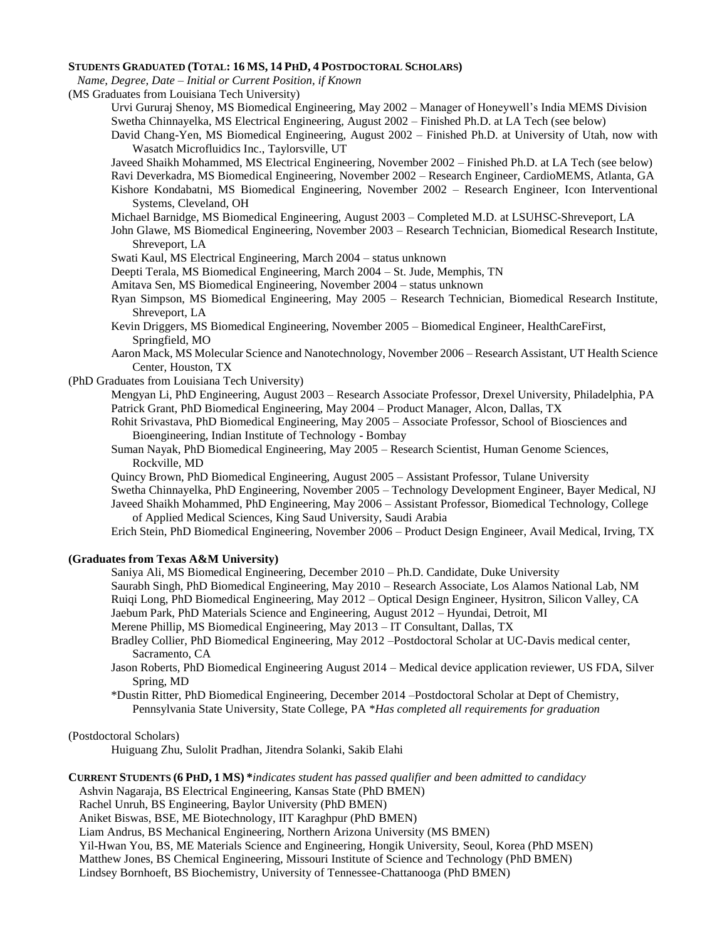#### **STUDENTS GRADUATED (TOTAL: 16 MS, 14 PHD, 4 POSTDOCTORAL SCHOLARS)**

 *Name, Degree, Date – Initial or Current Position, if Known*

(MS Graduates from Louisiana Tech University)

- Urvi Gururaj Shenoy, MS Biomedical Engineering, May 2002 Manager of Honeywell's India MEMS Division Swetha Chinnayelka, MS Electrical Engineering, August 2002 – Finished Ph.D. at LA Tech (see below)
- David Chang-Yen, MS Biomedical Engineering, August 2002 Finished Ph.D. at University of Utah, now with Wasatch Microfluidics Inc., Taylorsville, UT

Javeed Shaikh Mohammed, MS Electrical Engineering, November 2002 – Finished Ph.D. at LA Tech (see below)

- Ravi Deverkadra, MS Biomedical Engineering, November 2002 Research Engineer, CardioMEMS, Atlanta, GA Kishore Kondabatni, MS Biomedical Engineering, November 2002 – Research Engineer, Icon Interventional Systems, Cleveland, OH
- Michael Barnidge, MS Biomedical Engineering, August 2003 Completed M.D. at LSUHSC-Shreveport, LA
- John Glawe, MS Biomedical Engineering, November 2003 Research Technician, Biomedical Research Institute, Shreveport, LA

Swati Kaul, MS Electrical Engineering, March 2004 – status unknown

Deepti Terala, MS Biomedical Engineering, March 2004 – St. Jude, Memphis, TN

- Amitava Sen, MS Biomedical Engineering, November 2004 status unknown
- Ryan Simpson, MS Biomedical Engineering, May 2005 Research Technician, Biomedical Research Institute, Shreveport, LA
- Kevin Driggers, MS Biomedical Engineering, November 2005 Biomedical Engineer, HealthCareFirst, Springfield, MO
- Aaron Mack, MS Molecular Science and Nanotechnology, November 2006 Research Assistant, UT Health Science Center, Houston, TX

(PhD Graduates from Louisiana Tech University)

- Mengyan Li, PhD Engineering, August 2003 Research Associate Professor, Drexel University, Philadelphia, PA Patrick Grant, PhD Biomedical Engineering, May 2004 – Product Manager, Alcon, Dallas, TX
- Rohit Srivastava, PhD Biomedical Engineering, May 2005 Associate Professor, School of Biosciences and Bioengineering, Indian Institute of Technology - Bombay
- Suman Nayak, PhD Biomedical Engineering, May 2005 Research Scientist, Human Genome Sciences, Rockville, MD
- Quincy Brown, PhD Biomedical Engineering, August 2005 Assistant Professor, Tulane University

Swetha Chinnayelka, PhD Engineering, November 2005 – Technology Development Engineer, Bayer Medical, NJ Javeed Shaikh Mohammed, PhD Engineering, May 2006 – Assistant Professor, Biomedical Technology, College

of Applied Medical Sciences, King Saud University, Saudi Arabia Erich Stein, PhD Biomedical Engineering, November 2006 – Product Design Engineer, Avail Medical, Irving, TX

#### **(Graduates from Texas A&M University)**

Saniya Ali, MS Biomedical Engineering, December 2010 – Ph.D. Candidate, Duke University Saurabh Singh, PhD Biomedical Engineering, May 2010 – Research Associate, Los Alamos National Lab, NM Ruiqi Long, PhD Biomedical Engineering, May 2012 – Optical Design Engineer, Hysitron, Silicon Valley, CA

- Jaebum Park, PhD Materials Science and Engineering, August 2012 Hyundai, Detroit, MI
- Merene Phillip, MS Biomedical Engineering, May 2013 IT Consultant, Dallas, TX
- Bradley Collier, PhD Biomedical Engineering, May 2012 –Postdoctoral Scholar at UC-Davis medical center, Sacramento, CA
- Jason Roberts, PhD Biomedical Engineering August 2014 Medical device application reviewer, US FDA, Silver Spring, MD
- \*Dustin Ritter, PhD Biomedical Engineering, December 2014 –Postdoctoral Scholar at Dept of Chemistry, Pennsylvania State University, State College, PA \**Has completed all requirements for graduation*

#### (Postdoctoral Scholars)

Huiguang Zhu, Sulolit Pradhan, Jitendra Solanki, Sakib Elahi

**CURRENT STUDENTS (6 PHD, 1 MS) \****indicates student has passed qualifier and been admitted to candidacy*

Ashvin Nagaraja, BS Electrical Engineering, Kansas State (PhD BMEN)

Rachel Unruh, BS Engineering, Baylor University (PhD BMEN)

Aniket Biswas, BSE, ME Biotechnology, IIT Karaghpur (PhD BMEN)

Liam Andrus, BS Mechanical Engineering, Northern Arizona University (MS BMEN)

Yil-Hwan You, BS, ME Materials Science and Engineering, Hongik University, Seoul, Korea (PhD MSEN)

Matthew Jones, BS Chemical Engineering, Missouri Institute of Science and Technology (PhD BMEN)

Lindsey Bornhoeft, BS Biochemistry, University of Tennessee-Chattanooga (PhD BMEN)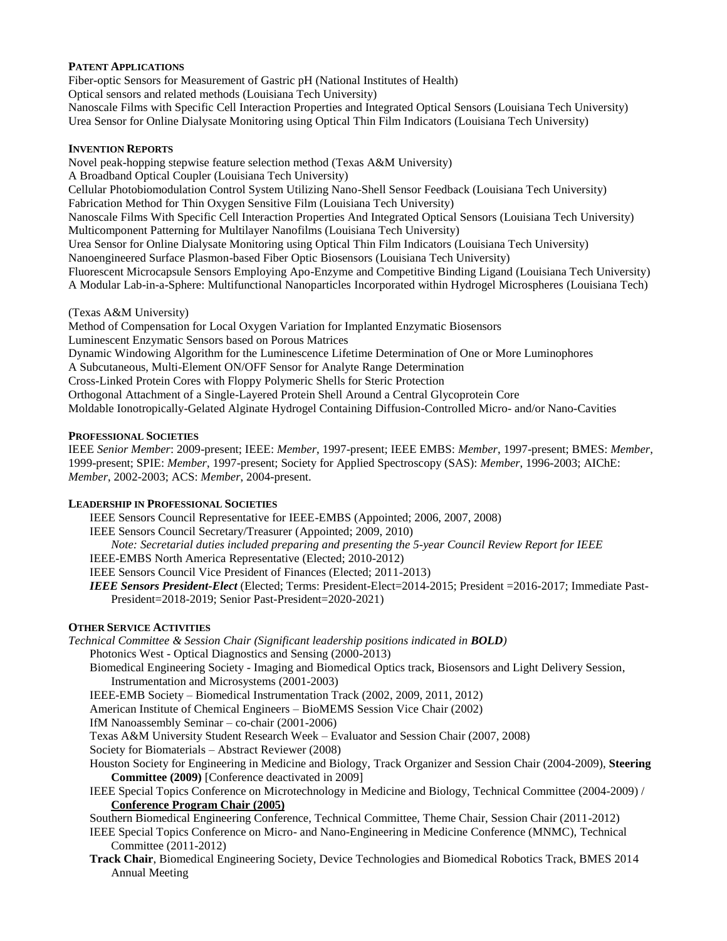## **PATENT APPLICATIONS**

Fiber-optic Sensors for Measurement of Gastric pH (National Institutes of Health) Optical sensors and related methods (Louisiana Tech University) Nanoscale Films with Specific Cell Interaction Properties and Integrated Optical Sensors (Louisiana Tech University) Urea Sensor for Online Dialysate Monitoring using Optical Thin Film Indicators (Louisiana Tech University)

#### **INVENTION REPORTS**

Novel peak-hopping stepwise feature selection method (Texas A&M University) A Broadband Optical Coupler (Louisiana Tech University) Cellular Photobiomodulation Control System Utilizing Nano-Shell Sensor Feedback (Louisiana Tech University) Fabrication Method for Thin Oxygen Sensitive Film (Louisiana Tech University) Nanoscale Films With Specific Cell Interaction Properties And Integrated Optical Sensors (Louisiana Tech University) Multicomponent Patterning for Multilayer Nanofilms (Louisiana Tech University) Urea Sensor for Online Dialysate Monitoring using Optical Thin Film Indicators (Louisiana Tech University) Nanoengineered Surface Plasmon-based Fiber Optic Biosensors (Louisiana Tech University) Fluorescent Microcapsule Sensors Employing Apo-Enzyme and Competitive Binding Ligand (Louisiana Tech University) A Modular Lab-in-a-Sphere: Multifunctional Nanoparticles Incorporated within Hydrogel Microspheres (Louisiana Tech) (Texas A&M University) Method of Compensation for Local Oxygen Variation for Implanted Enzymatic Biosensors Luminescent Enzymatic Sensors based on Porous Matrices Dynamic Windowing Algorithm for the Luminescence Lifetime Determination of One or More Luminophores

A Subcutaneous, Multi-Element ON/OFF Sensor for Analyte Range Determination Cross-Linked Protein Cores with Floppy Polymeric Shells for Steric Protection Orthogonal Attachment of a Single-Layered Protein Shell Around a Central Glycoprotein Core Moldable Ionotropically-Gelated Alginate Hydrogel Containing Diffusion-Controlled Micro- and/or Nano-Cavities

#### **PROFESSIONAL SOCIETIES**

IEEE *Senior Member*: 2009-present; IEEE: *Member*, 1997-present; IEEE EMBS: *Member*, 1997-present; BMES: *Member*, 1999-present; SPIE: *Member*, 1997-present; Society for Applied Spectroscopy (SAS): *Member*, 1996-2003; AIChE: *Member*, 2002-2003; ACS: *Member*, 2004-present.

#### **LEADERSHIP IN PROFESSIONAL SOCIETIES**

IEEE Sensors Council Representative for IEEE-EMBS (Appointed; 2006, 2007, 2008)

IEEE Sensors Council Secretary/Treasurer (Appointed; 2009, 2010)

*Note: Secretarial duties included preparing and presenting the 5-year Council Review Report for IEEE* 

IEEE-EMBS North America Representative (Elected; 2010-2012)

IEEE Sensors Council Vice President of Finances (Elected; 2011-2013)

*IEEE Sensors President-Elect* (Elected; Terms: President-Elect=2014-2015; President =2016-2017; Immediate Past-President=2018-2019; Senior Past-President=2020-2021)

## **OTHER SERVICE ACTIVITIES**

*Technical Committee & Session Chair (Significant leadership positions indicated in BOLD)*

Photonics West - Optical Diagnostics and Sensing (2000-2013)

Biomedical Engineering Society - Imaging and Biomedical Optics track, Biosensors and Light Delivery Session, Instrumentation and Microsystems (2001-2003)

IEEE-EMB Society – Biomedical Instrumentation Track (2002, 2009, 2011, 2012)

American Institute of Chemical Engineers – BioMEMS Session Vice Chair (2002)

IfM Nanoassembly Seminar – co-chair (2001-2006)

Texas A&M University Student Research Week – Evaluator and Session Chair (2007, 2008)

Society for Biomaterials – Abstract Reviewer (2008)

Houston Society for Engineering in Medicine and Biology, Track Organizer and Session Chair (2004-2009), **Steering Committee (2009)** [Conference deactivated in 2009]

IEEE Special Topics Conference on Microtechnology in Medicine and Biology, Technical Committee (2004-2009) / **Conference Program Chair (2005)**

Southern Biomedical Engineering Conference, Technical Committee, Theme Chair, Session Chair (2011-2012) IEEE Special Topics Conference on Micro- and Nano-Engineering in Medicine Conference (MNMC), Technical

# Committee (2011-2012)

**Track Chair**, Biomedical Engineering Society, Device Technologies and Biomedical Robotics Track, BMES 2014 Annual Meeting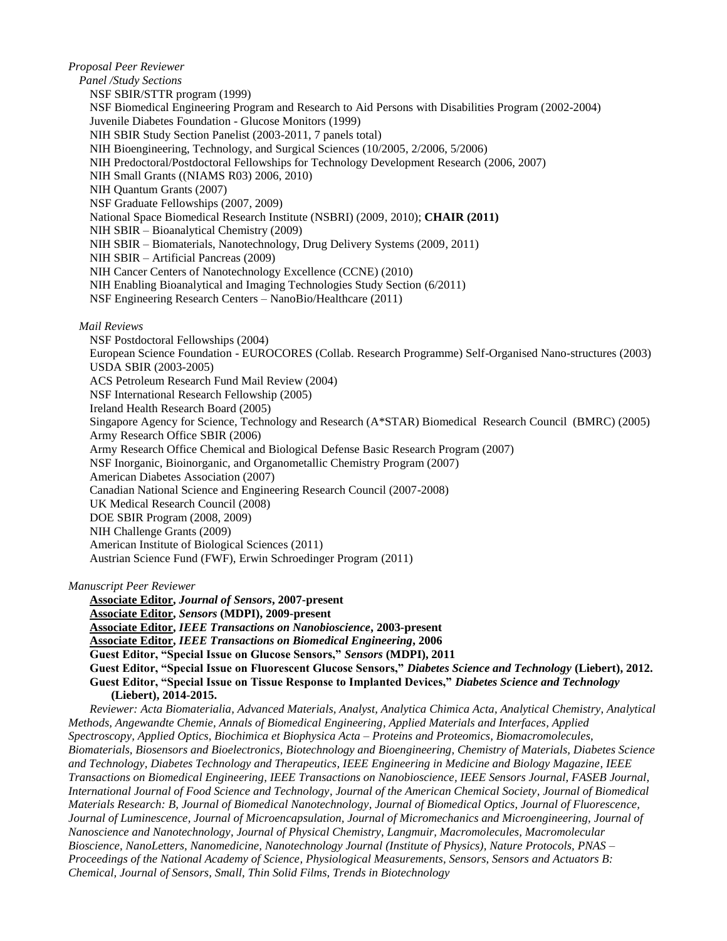*Proposal Peer Reviewer*

*Panel /Study Sections* NSF SBIR/STTR program (1999) NSF Biomedical Engineering Program and Research to Aid Persons with Disabilities Program (2002-2004) Juvenile Diabetes Foundation - Glucose Monitors (1999) NIH SBIR Study Section Panelist (2003-2011, 7 panels total) NIH Bioengineering, Technology, and Surgical Sciences (10/2005, 2/2006, 5/2006) NIH Predoctoral/Postdoctoral Fellowships for Technology Development Research (2006, 2007) NIH Small Grants ((NIAMS R03) 2006, 2010) NIH Quantum Grants (2007) NSF Graduate Fellowships (2007, 2009) National Space Biomedical Research Institute (NSBRI) (2009, 2010); **CHAIR (2011)** NIH SBIR – Bioanalytical Chemistry (2009) NIH SBIR – Biomaterials, Nanotechnology, Drug Delivery Systems (2009, 2011) NIH SBIR – Artificial Pancreas (2009) NIH Cancer Centers of Nanotechnology Excellence (CCNE) (2010) NIH Enabling Bioanalytical and Imaging Technologies Study Section (6/2011) NSF Engineering Research Centers – NanoBio/Healthcare (2011) *Mail Reviews* NSF Postdoctoral Fellowships (2004) European Science Foundation - EUROCORES (Collab. Research Programme) Self-Organised Nano-structures (2003) USDA SBIR (2003-2005) ACS Petroleum Research Fund Mail Review (2004) NSF International Research Fellowship (2005) Ireland Health Research Board (2005) Singapore Agency for Science, Technology and Research (A\*STAR) Biomedical Research Council (BMRC) (2005) Army Research Office SBIR (2006) Army Research Office Chemical and Biological Defense Basic Research Program (2007) NSF Inorganic, Bioinorganic, and Organometallic Chemistry Program (2007) American Diabetes Association (2007) Canadian National Science and Engineering Research Council (2007-2008) UK Medical Research Council (2008) DOE SBIR Program (2008, 2009) NIH Challenge Grants (2009) American Institute of Biological Sciences (2011) Austrian Science Fund (FWF), Erwin Schroedinger Program (2011)

*Manuscript Peer Reviewer*

**Associate Editor,** *Journal of Sensors***, 2007-present Associate Editor,** *Sensors* **(MDPI), 2009-present Associate Editor,** *IEEE Transactions on Nanobioscience***, 2003-present Associate Editor,** *IEEE Transactions on Biomedical Engineering***, 2006 Guest Editor, "Special Issue on Glucose Sensors,"** *Sensors* **(MDPI), 2011 Guest Editor, "Special Issue on Fluorescent Glucose Sensors,"** *Diabetes Science and Technology* **(Liebert), 2012. Guest Editor, "Special Issue on Tissue Response to Implanted Devices,"** *Diabetes Science and Technology*  **(Liebert), 2014-2015.**

*Reviewer: Acta Biomaterialia, Advanced Materials, Analyst, Analytica Chimica Acta, Analytical Chemistry, Analytical Methods, Angewandte Chemie, Annals of Biomedical Engineering, Applied Materials and Interfaces, Applied Spectroscopy, Applied Optics, Biochimica et Biophysica Acta – Proteins and Proteomics, Biomacromolecules, Biomaterials, Biosensors and Bioelectronics, Biotechnology and Bioengineering, Chemistry of Materials, Diabetes Science and Technology, Diabetes Technology and Therapeutics, IEEE Engineering in Medicine and Biology Magazine, IEEE Transactions on Biomedical Engineering, IEEE Transactions on Nanobioscience, IEEE Sensors Journal, FASEB Journal, International Journal of Food Science and Technology, Journal of the American Chemical Society, Journal of Biomedical Materials Research: B, Journal of Biomedical Nanotechnology, Journal of Biomedical Optics, Journal of Fluorescence, Journal of Luminescence, Journal of Microencapsulation, Journal of Micromechanics and Microengineering, Journal of Nanoscience and Nanotechnology, Journal of Physical Chemistry, Langmuir, Macromolecules, Macromolecular Bioscience, NanoLetters, Nanomedicine, Nanotechnology Journal (Institute of Physics), Nature Protocols, PNAS – Proceedings of the National Academy of Science, Physiological Measurements, Sensors, Sensors and Actuators B: Chemical, Journal of Sensors, Small, Thin Solid Films, Trends in Biotechnology*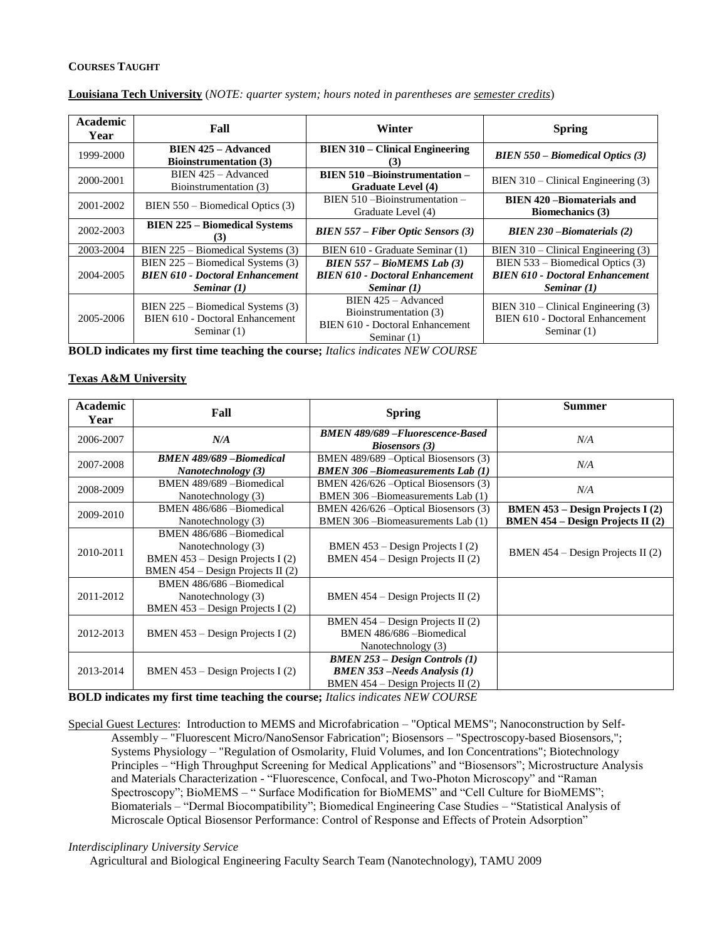#### **COURSES TAUGHT**

| <b>Academic</b><br>Year | Fall                                                                                           | Winter                                                                                            | <b>Spring</b>                                                                             |
|-------------------------|------------------------------------------------------------------------------------------------|---------------------------------------------------------------------------------------------------|-------------------------------------------------------------------------------------------|
| 1999-2000               | <b>BIEN 425 – Advanced</b><br><b>Bioinstrumentation</b> (3)                                    | <b>BIEN 310 – Clinical Engineering</b><br>(3)                                                     | <b>BIEN 550 - Biomedical Optics (3)</b>                                                   |
| 2000-2001               | BIEN 425 - Advanced<br>Bioinstrumentation (3)                                                  | <b>BIEN 510 - Bioinstrumentation -</b><br><b>Graduate Level (4)</b>                               | BIEN 310 - Clinical Engineering (3)                                                       |
| 2001-2002               | $BIENT 550 - Biomedical Optics (3)$                                                            | $BIEN 510 - Bioinstrumentation -$<br>Graduate Level (4)                                           | <b>BIEN 420 – Biomaterials and</b><br><b>Biomechanics</b> (3)                             |
| 2002-2003               | <b>BIEN 225 – Biomedical Systems</b><br>(3)                                                    | $B I E N 557 - Fiber Optic Sensors (3)$                                                           | $B I E N 230 - Biomatic trials (2)$                                                       |
| 2003-2004               | BIEN 225 – Biomedical Systems (3)                                                              | BIEN 610 - Graduate Seminar (1)                                                                   | $BIENT 310 - Clinical Engineering (3)$                                                    |
| 2004-2005               | BIEN $225$ – Biomedical Systems (3)<br><b>BIEN 610 - Doctoral Enhancement</b><br>Seminar $(1)$ | $BIENT 557 - BioMEMS Lab (3)$<br><b>BIEN 610 - Doctoral Enhancement</b><br>Seminar $(1)$          | BIEN 533 – Biomedical Optics (3)<br><b>BIEN 610 - Doctoral Enhancement</b><br>Seminar (1) |
| 2005-2006               | BIEN $225$ – Biomedical Systems (3)<br>BIEN 610 - Doctoral Enhancement<br>Seminar $(1)$        | BIEN 425 - Advanced<br>Bioinstrumentation (3)<br>BIEN 610 - Doctoral Enhancement<br>Seminar $(1)$ | BIEN 310 - Clinical Engineering (3)<br>BIEN 610 - Doctoral Enhancement<br>Seminar $(1)$   |

#### **Louisiana Tech University** (*NOTE: quarter system; hours noted in parentheses are semester credits*)

**BOLD indicates my first time teaching the course;** *Italics indicates NEW COURSE*

## **Texas A&M University**

| Academic<br>Year | Fall                                                                                                                     | <b>Spring</b>                                                                                                       | <b>Summer</b>                                                                       |
|------------------|--------------------------------------------------------------------------------------------------------------------------|---------------------------------------------------------------------------------------------------------------------|-------------------------------------------------------------------------------------|
| 2006-2007        | N/A                                                                                                                      | <b>BMEN 489/689 - Fluorescence-Based</b><br><b>Biosensors</b> (3)                                                   | N/A                                                                                 |
| 2007-2008        | <b>BMEN 489/689 - Biomedical</b><br>Nanotechnology (3)                                                                   | BMEN 489/689 - Optical Biosensors (3)<br><b>BMEN 306-Biomeasurements Lab (1)</b>                                    | N/A                                                                                 |
| 2008-2009        | BMEN 489/689 - Biomedical<br>Nanotechnology (3)                                                                          | BMEN 426/626 - Optical Biosensors (3)<br>BMEN 306 - Biomeasurements Lab (1)                                         | N/A                                                                                 |
| 2009-2010        | BMEN 486/686 - Biomedical<br>Nanotechnology (3)                                                                          | BMEN 426/626 - Optical Biosensors (3)<br>BMEN 306 - Biomeasurements Lab (1)                                         | <b>BMEN 453 – Design Projects I (2)</b><br><b>BMEN 454 – Design Projects II</b> (2) |
| 2010-2011        | BMEN 486/686 - Biomedical<br>Nanotechnology (3)<br>BMEN 453 – Design Projects I (2)<br>BMEN 454 – Design Projects II (2) | BMEN $453 - Design Projects I (2)$<br>BMEN $454 - Design Projects II (2)$                                           | BMEN $454 - Design Projects II (2)$                                                 |
| 2011-2012        | BMEN 486/686 - Biomedical<br>Nanotechnology (3)<br>BMEN 453 - Design Projects I (2)                                      | BMEN $454 - Design Projects II (2)$                                                                                 |                                                                                     |
| 2012-2013        | BMEN 453 – Design Projects I (2)                                                                                         | BMEN $454 - Design Projects II (2)$<br>BMEN 486/686 - Biomedical<br>Nanotechnology (3)                              |                                                                                     |
| 2013-2014        | BMEN $453$ – Design Projects I $(2)$                                                                                     | <b>BMEN 253 – Design Controls (1)</b><br><b>BMEN 353</b> –Needs Analysis (1)<br>BMEN $454 - Design Projects II (2)$ |                                                                                     |

**BOLD indicates my first time teaching the course;** *Italics indicates NEW COURSE*

Special Guest Lectures: Introduction to MEMS and Microfabrication – "Optical MEMS"; Nanoconstruction by Self-Assembly – "Fluorescent Micro/NanoSensor Fabrication"; Biosensors – "Spectroscopy-based Biosensors,"; Systems Physiology – "Regulation of Osmolarity, Fluid Volumes, and Ion Concentrations"; Biotechnology Principles – "High Throughput Screening for Medical Applications" and "Biosensors"; Microstructure Analysis and Materials Characterization - "Fluorescence, Confocal, and Two-Photon Microscopy" and "Raman Spectroscopy"; BioMEMS – " Surface Modification for BioMEMS" and "Cell Culture for BioMEMS"; Biomaterials – "Dermal Biocompatibility"; Biomedical Engineering Case Studies – "Statistical Analysis of Microscale Optical Biosensor Performance: Control of Response and Effects of Protein Adsorption"

#### *Interdisciplinary University Service*

Agricultural and Biological Engineering Faculty Search Team (Nanotechnology), TAMU 2009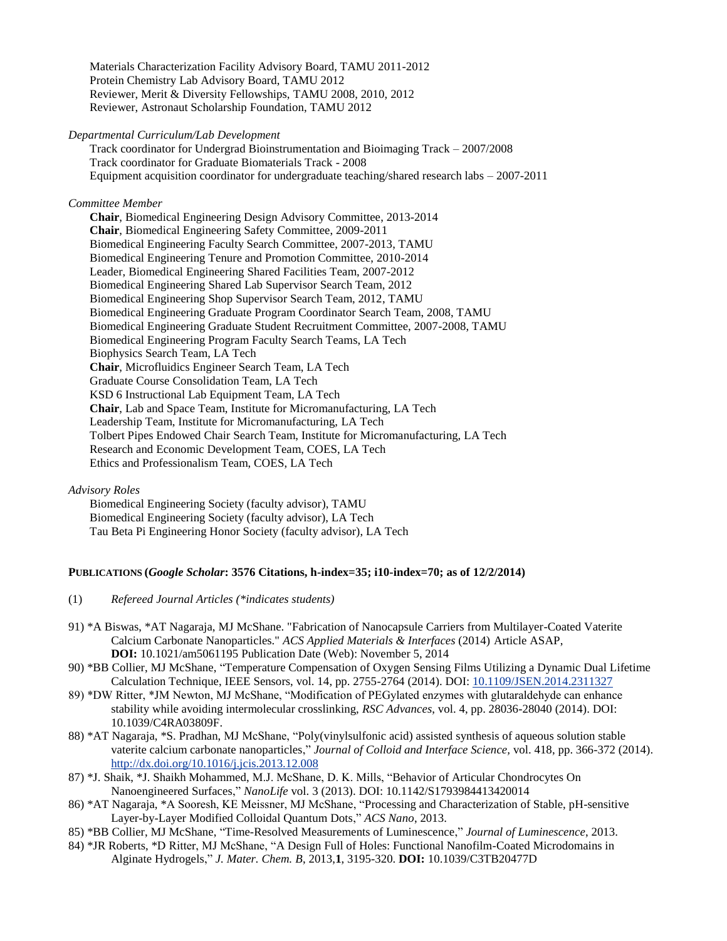Materials Characterization Facility Advisory Board, TAMU 2011-2012 Protein Chemistry Lab Advisory Board, TAMU 2012 Reviewer, Merit & Diversity Fellowships, TAMU 2008, 2010, 2012 Reviewer, Astronaut Scholarship Foundation, TAMU 2012

#### *Departmental Curriculum/Lab Development*

Track coordinator for Undergrad Bioinstrumentation and Bioimaging Track – 2007/2008 Track coordinator for Graduate Biomaterials Track - 2008 Equipment acquisition coordinator for undergraduate teaching/shared research labs – 2007-2011

#### *Committee Member*

**Chair**, Biomedical Engineering Design Advisory Committee, 2013-2014 **Chair**, Biomedical Engineering Safety Committee, 2009-2011 Biomedical Engineering Faculty Search Committee, 2007-2013, TAMU Biomedical Engineering Tenure and Promotion Committee, 2010-2014 Leader, Biomedical Engineering Shared Facilities Team, 2007-2012 Biomedical Engineering Shared Lab Supervisor Search Team, 2012 Biomedical Engineering Shop Supervisor Search Team, 2012, TAMU Biomedical Engineering Graduate Program Coordinator Search Team, 2008, TAMU Biomedical Engineering Graduate Student Recruitment Committee, 2007-2008, TAMU Biomedical Engineering Program Faculty Search Teams, LA Tech Biophysics Search Team, LA Tech **Chair**, Microfluidics Engineer Search Team, LA Tech Graduate Course Consolidation Team, LA Tech KSD 6 Instructional Lab Equipment Team, LA Tech **Chair**, Lab and Space Team, Institute for Micromanufacturing, LA Tech Leadership Team, Institute for Micromanufacturing, LA Tech Tolbert Pipes Endowed Chair Search Team, Institute for Micromanufacturing, LA Tech Research and Economic Development Team, COES, LA Tech Ethics and Professionalism Team, COES, LA Tech

#### *Advisory Roles*

Biomedical Engineering Society (faculty advisor), TAMU Biomedical Engineering Society (faculty advisor), LA Tech Tau Beta Pi Engineering Honor Society (faculty advisor), LA Tech

#### **PUBLICATIONS (***Google Scholar***: 3576 Citations, h-index=35; i10-index=70; as of 12/2/2014)**

- (1) *Refereed Journal Articles (\*indicates students)*
- 91) \*A Biswas, \*AT Nagaraja, MJ McShane. "Fabrication of Nanocapsule Carriers from Multilayer-Coated Vaterite Calcium Carbonate Nanoparticles." *ACS Applied Materials & Interfaces* (2014) Article ASAP, **DOI:** 10.1021/am5061195 Publication Date (Web): November 5, 2014
- 90) \*BB Collier, MJ McShane, "Temperature Compensation of Oxygen Sensing Films Utilizing a Dynamic Dual Lifetime Calculation Technique, IEEE Sensors, vol. 14, pp. 2755-2764 (2014). DOI: [10.1109/JSEN.2014.2311327](http://dx.doi.org/10.1109/JSEN.2014.2311327)
- 89) \*DW Ritter, \*JM Newton, MJ McShane, "Modification of PEGylated enzymes with glutaraldehyde can enhance stability while avoiding intermolecular crosslinking, *RSC Advances*, vol. 4, pp. 28036-28040 (2014). DOI: 10.1039/C4RA03809F.
- 88) \*AT Nagaraja, \*S. Pradhan, MJ McShane, "Poly(vinylsulfonic acid) assisted synthesis of aqueous solution stable vaterite calcium carbonate nanoparticles," *Journal of Colloid and Interface Science,* vol. 418, pp. 366-372 (2014). <http://dx.doi.org/10.1016/j.jcis.2013.12.008>
- 87) \*J. Shaik, \*J. Shaikh Mohammed, M.J. McShane, D. K. Mills, "Behavior of Articular Chondrocytes On Nanoengineered Surfaces," *NanoLife* vol. 3 (2013). DOI: 10.1142/S1793984413420014
- 86) \*AT Nagaraja, \*A Sooresh, KE Meissner, MJ McShane, ["Processing and Characterization of Stable, pH-sensitive](http://scholar.google.com/scholar?oi=bibs&hl=en&cluster=8699357792625022466&btnI=Lucky)  [Layer-by-Layer Modified Colloidal Quantum Dots,"](http://scholar.google.com/scholar?oi=bibs&hl=en&cluster=8699357792625022466&btnI=Lucky) *ACS Nano*, 2013.
- 85) \*BB Collier, MJ McShane, ["Time-Resolved Measurements of Luminescence,](http://scholar.google.com/scholar?oi=bibs&hl=en&cluster=7752365099617241420&btnI=Lucky)" *Journal of Luminescence*, 2013.
- 84) \*JR Roberts, \*D Ritter, MJ McShane, ["A Design Full of Holes: Functional Nanofilm-Coated Microdomains in](http://scholar.google.com/scholar?oi=bibs&hl=en&cluster=459094826785274908&btnI=Lucky)  [Alginate Hydrogels,](http://scholar.google.com/scholar?oi=bibs&hl=en&cluster=459094826785274908&btnI=Lucky)" *J. Mater. Chem. B*, 2013,**1**, 3195-320. **DOI:** 10.1039/C3TB20477D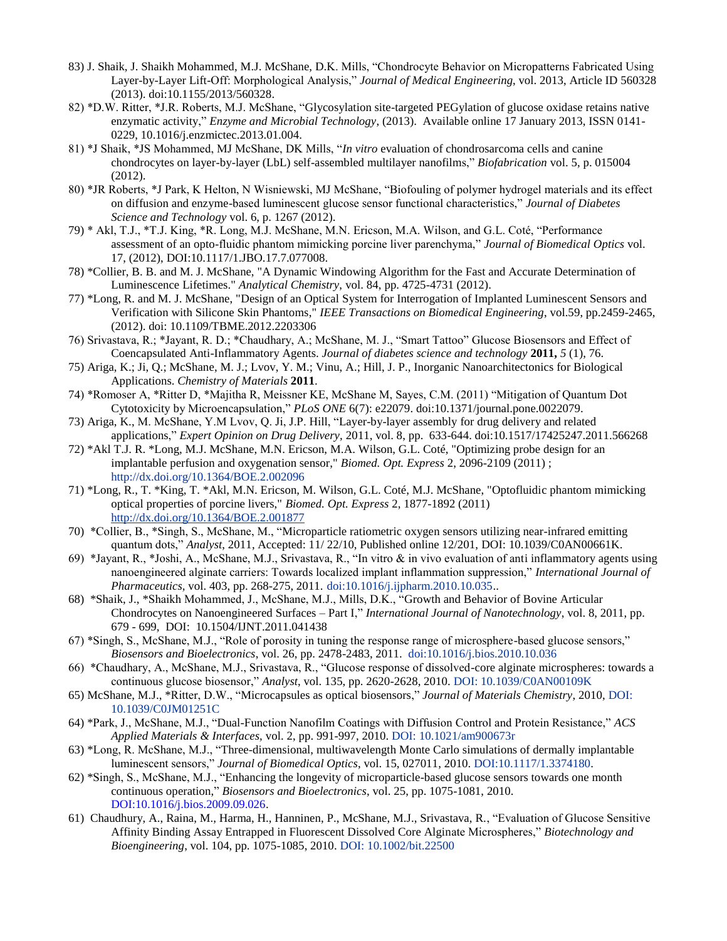- 83) J. Shaik, J. Shaikh Mohammed, M.J. McShane, D.K. Mills, "Chondrocyte Behavior on Micropatterns Fabricated Using Layer-by-Layer Lift-Off: Morphological Analysis," *Journal of Medical Engineering*, vol. 2013, Article ID 560328 (2013). doi:10.1155/2013/560328.
- 82) \*D.W. Ritter, \*J.R. Roberts, M.J. McShane, "Glycosylation site-targeted PEGylation of glucose oxidase retains native enzymatic activity," *Enzyme and Microbial Technology*, (2013). Available online 17 January 2013, ISSN 0141- 0229, 10.1016/j.enzmictec.2013.01.004.
- 81) \*J Shaik, \*JS Mohammed, MJ McShane, DK Mills, "*In vitro* evaluation of chondrosarcoma cells and canine chondrocytes on layer-by-layer (LbL) self-assembled multilayer nanofilms," *Biofabrication* vol. 5, p. 015004 (2012).
- 80) \*JR Roberts, \*J Park, K Helton, N Wisniewski, MJ McShane, "Biofouling of polymer hydrogel materials and its effect on diffusion and enzyme-based luminescent glucose sensor functional characteristics," *Journal of Diabetes Science and Technology* vol. 6, p. 1267 (2012).
- 79) \* Akl, T.J., \*T.J. King, \*R. Long, M.J. McShane, M.N. Ericson, M.A. Wilson, and G.L. Coté, "Performance assessment of an opto-fluidic phantom mimicking porcine liver parenchyma," *Journal of Biomedical Optics* vol. 17, (2012), DOI:10.1117/1.JBO.17.7.077008.
- 78) \*Collier, B. B. and M. J. McShane, "A Dynamic Windowing Algorithm for the Fast and Accurate Determination of Luminescence Lifetimes." *Analytical Chemistry*, vol. 84, pp. 4725-4731 (2012).
- 77) \*Long, R. and M. J. McShane, "Design of an Optical System for Interrogation of Implanted Luminescent Sensors and Verification with Silicone Skin Phantoms," *IEEE Transactions on Biomedical Engineering*, vol.59, pp.2459-2465, (2012). doi: 10.1109/TBME.2012.2203306
- 76) Srivastava, R.; \*Jayant, R. D.; \*Chaudhary, A.; McShane, M. J., "Smart Tattoo" Glucose Biosensors and Effect of Coencapsulated Anti-Inflammatory Agents. *Journal of diabetes science and technology* **2011,** *5* (1), 76.
- 75) Ariga, K.; Ji, Q.; McShane, M. J.; Lvov, Y. M.; Vinu, A.; Hill, J. P., Inorganic Nanoarchitectonics for Biological Applications. *Chemistry of Materials* **2011**.
- 74) \*Romoser A, \*Ritter D, \*Majitha R, Meissner KE, McShane M, Sayes, C.M. (2011) "Mitigation of Quantum Dot Cytotoxicity by Microencapsulation," *PLoS ONE* 6(7): e22079. doi:10.1371/journal.pone.0022079.
- 73) Ariga, K., M. McShane, Y.M Lvov, Q. Ji, J.P. Hill, ["Layer-by-layer assembly for drug delivery and related](http://informahealthcare.com/doi/abs/10.1517/17425247.2011.566268)  [applications,](http://informahealthcare.com/doi/abs/10.1517/17425247.2011.566268)" *Expert Opinion on Drug Delivery,* 2011, vol. 8, pp. 633-644. doi:10.1517/17425247.2011.566268
- 72) \*Akl T.J. R. \*Long, M.J. McShane, M.N. Ericson, M.A. Wilson, G.L. Coté, "Optimizing probe design for an implantable perfusion and oxygenation sensor," *Biomed. Opt. Express* 2, 2096-2109 (2011) ; <http://dx.doi.org/10.1364/BOE.2.002096>
- 71) \*Long, R., T. \*King, T. \*Akl, M.N. Ericson, M. Wilson, G.L. Coté, M.J. McShane, "Optofluidic phantom mimicking optical properties of porcine livers," *Biomed. Opt. Express* 2, 1877-1892 (2011) <http://dx.doi.org/10.1364/BOE.2.001877>
- 70) \*Collier, B., \*Singh, S., McShane, M., "Microparticle ratiometric oxygen sensors utilizing near-infrared emitting quantum dots," *Analyst*, 2011, Accepted: 11/ 22/10, Published online 12/201, DOI: 10.1039/C0AN00661K.
- 69) \*Jayant, R., \*Joshi, A., McShane, M.J., Srivastava, R., "In vitro & in vivo evaluation of anti inflammatory agents using nanoengineered alginate carriers: Towards localized implant inflammation suppression," *International Journal of Pharmaceutics,* vol. 403, pp. 268-275, 2011. [doi:10.1016/j.ijpharm.2010.10.035.](http://dx.doi.org/10.1016/j.ijpharm.2010.10.035).
- 68) \*Shaik, J., \*Shaikh Mohammed, J., McShane, M.J., Mills, D.K., "Growth and Behavior of Bovine Articular Chondrocytes on Nanoengineered Surfaces – Part I," *International Journal of Nanotechnology*, vol. 8, 2011, pp. 679 - 699, DOI: 10.1504/IJNT.2011.041438
- 67) \*Singh, S., McShane, M.J., "Role of porosity in tuning the response range of microsphere-based glucose sensors," *Biosensors and Bioelectronics*, vol. 26, pp. 2478-2483, 2011. [doi:10.1016/j.bios.2010.10.036](http://dx.doi.org/10.1016/j.bios.2010.10.036)
- 66) \*Chaudhary, A., McShane, M.J., Srivastava, R., "Glucose response of dissolved-core alginate microspheres: towards a continuous glucose biosensor," *Analyst*, vol. 135, pp. 2620-2628, 2010. [DOI: 10.1039/C0AN00109K](http://dx.doi.org/10.1039/C0AN00109K)
- 65) McShane, M.J., \*Ritter, D.W., "Microcapsules as optical biosensors," *Journal of Materials Chemistry*, 2010[, DOI:](http://dx.doi.org/10.1039/C0JM01251C) [10.1039/C0JM01251C](http://dx.doi.org/10.1039/C0JM01251C)
- 64) \*Park, J., McShane, M.J., "Dual-Function Nanofilm Coatings with Diffusion Control and Protein Resistance," *ACS Applied Materials & Interfaces,* vol. 2, pp. 991-997, 2010. [DOI: 10.1021/am900673r](http://dx.doi.org/10.1021/am900673r)
- 63) \*Long, R. McShane, M.J., "Three-dimensional, multiwavelength Monte Carlo simulations of dermally implantable luminescent sensors," *Journal of Biomedical Optics*, vol. 15, 027011, 2010. [DOI:10.1117/1.3374180.](http://dx.doi.org/10.1117/1.3374180)
- 62) \*Singh, S., McShane, M.J., "Enhancing the longevity of microparticle-based glucose sensors towards one month continuous operation," *Biosensors and Bioelectronics*, vol. 25, pp. 1075-1081, 2010. [DOI:10.1016/j.bios.2009.09.026.](http://dx.doi.org/10.1016/j.bios.2009.09.026)
- 61) Chaudhury, A., Raina, M., Harma, H., Hanninen, P., McShane, M.J., Srivastava, R., "Evaluation of Glucose Sensitive Affinity Binding Assay Entrapped in Fluorescent Dissolved Core Alginate Microspheres," *Biotechnology and Bioengineering*, vol. 104, pp. 1075-1085, 2010. [DOI: 10.1002/bit.22500](http://dx.doi.org/10.1002/bit.22500)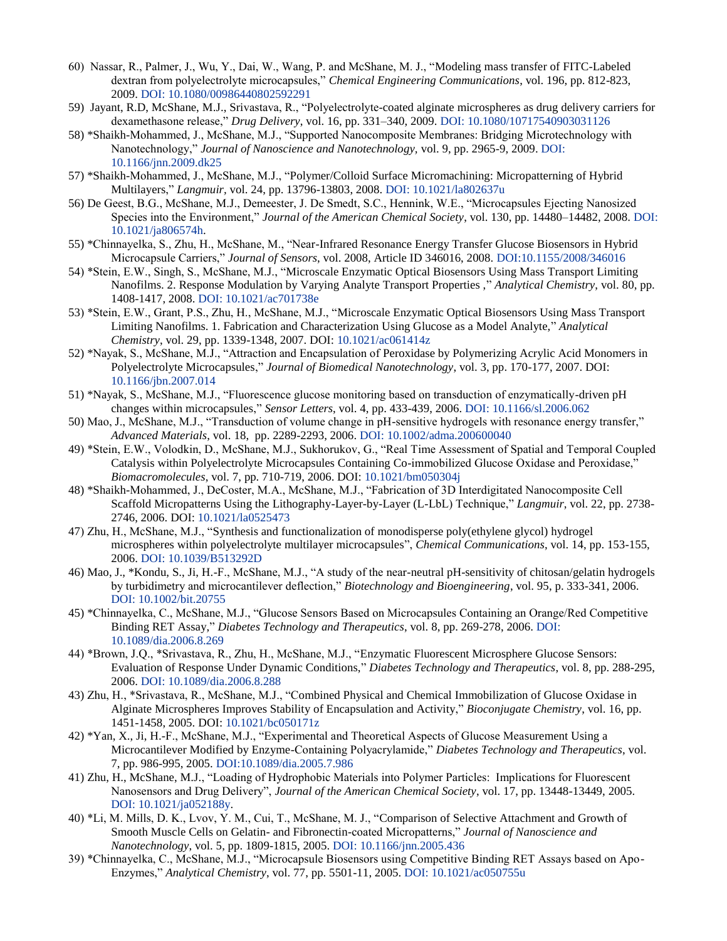- 60) Nassar, R., Palmer, J., Wu, Y., Dai, W., Wang, P. and McShane, M. J., "Modeling mass transfer of FITC-Labeled dextran from polyelectrolyte microcapsules," *Chemical Engineering Communications*, vol. 196, pp. 812-823, 2009[. DOI: 10.1080/00986440802592291](http://dx.doi.org/10.1080/00986440802592291)
- 59) Jayant, R.D, McShane, M.J., Srivastava, R., "Polyelectrolyte-coated alginate microspheres as drug delivery carriers for dexamethasone release," *Drug Delivery*, vol. 16, pp. 331–340, 2009. DOI: [10.1080/10717540903031126](http://dx.doi.org/10.1080/10717540903031126)
- 58) \*Shaikh-Mohammed, J., McShane, M.J., "Supported Nanocomposite Membranes: Bridging Microtechnology with Nanotechnology," *Journal of Nanoscience and Nanotechnology,* vol. 9, pp. 2965-9, 2009. [DOI:](http://dx.doi.org/10.1166/jnn.2009.dk25)  [10.1166/jnn.2009.dk25](http://dx.doi.org/10.1166/jnn.2009.dk25)
- 57) \*Shaikh-Mohammed, J., McShane, M.J., "Polymer/Colloid Surface Micromachining: Micropatterning of Hybrid Multilayers," *Langmuir,* vol. 24, pp. 13796-13803, 2008. [DOI: 10.1021/la802637u](http://dx.doi.org/10.1021/la802637u)
- 56) De Geest, B.G., McShane, M.J., Demeester, J. De Smedt, S.C., Hennink, W.E., "Microcapsules Ejecting Nanosized Species into the Environment," *Journal of the American Chemical Society*, vol. 130, pp. 14480–14482, 2008[. DOI:](http://dx.doi.org/10.1021/ja806574h)  [10.1021/ja806574h.](http://dx.doi.org/10.1021/ja806574h)
- 55) \*Chinnayelka, S., Zhu, H., McShane, M., "Near-Infrared Resonance Energy Transfer Glucose Biosensors in Hybrid Microcapsule Carriers," *Journal of Sensors*, vol. 2008, Article ID 346016, 2008. [DOI:10.1155/2008/346016](http://dx.doi.org/10.1155/2008/346016)
- 54) \*Stein, E.W., Singh, S., McShane, M.J., "Microscale Enzymatic Optical Biosensors Using Mass Transport Limiting Nanofilms. 2. Response Modulation by Varying Analyte Transport Properties ," *Analytical Chemistry*, vol. 80, pp. 1408-1417, 2008. [DOI: 10.1021/ac701738e](http://dx.doi.org/10.1021/ac701738e)
- 53) \*Stein, E.W., Grant, P.S., Zhu, H., McShane, M.J., "Microscale Enzymatic Optical Biosensors Using Mass Transport Limiting Nanofilms. 1. Fabrication and Characterization Using Glucose as a Model Analyte," *Analytical Chemistry*, vol. 29, pp. 1339-1348, 2007. DOI: [10.1021/ac061414z](http://dx.doi.org/10.1021/ac061414z)
- 52) \*Nayak, S., McShane, M.J., "Attraction and Encapsulation of Peroxidase by Polymerizing Acrylic Acid Monomers in Polyelectrolyte Microcapsules," *Journal of Biomedical Nanotechnology*, vol. 3, pp. 170-177, 2007. DOI: [10.1166/jbn.2007.014](http://dx.doi.org/10.1166/jbn.2007.014)
- 51) \*Nayak, S., McShane, M.J., "Fluorescence glucose monitoring based on transduction of enzymatically-driven pH changes within microcapsules," *Sensor Letters*, vol. 4, pp. 433-439, 2006[. DOI: 10.1166/sl.2006.062](http://dx.doi.org/10.1166/sl.2006.062)
- 50) Mao, J., McShane, M.J., "Transduction of volume change in pH-sensitive hydrogels with resonance energy transfer," *Advanced Materials*, vol. 18, pp. 2289-2293, 2006. [DOI: 10.1002/adma.200600040](http://dx.doi.org/10.1002/adma.200600040)
- 49) \*Stein, E.W., Volodkin, D., McShane, M.J., Sukhorukov, G., "Real Time Assessment of Spatial and Temporal Coupled Catalysis within Polyelectrolyte Microcapsules Containing Co-immobilized Glucose Oxidase and Peroxidase," *Biomacromolecules*, vol. 7, pp. 710-719, 2006. DOI: [10.1021/bm050304j](http://dx.doi.org/10.1021/bm050304j)
- 48) \*Shaikh-Mohammed, J., DeCoster, M.A., McShane, M.J., "Fabrication of 3D Interdigitated Nanocomposite Cell Scaffold Micropatterns Using the Lithography-Layer-by-Layer (L-LbL) Technique," *Langmuir*, vol. 22, pp. 2738- 2746, 2006. DOI[: 10.1021/la0525473](http://dx.doi.org/10.1021/la0525473)
- 47) Zhu, H., McShane, M.J., "Synthesis and functionalization of monodisperse poly(ethylene glycol) hydrogel microspheres within polyelectrolyte multilayer microcapsules", *Chemical Communications*, vol. 14, pp. 153-155, 2006[. DOI: 10.1039/B513292D](http://dx.doi.org/10.1039/B513292D)
- 46) Mao, J., \*Kondu, S., Ji, H.-F., McShane, M.J., "A study of the near-neutral pH-sensitivity of chitosan/gelatin hydrogels by turbidimetry and microcantilever deflection," *Biotechnology and Bioengineering*, vol. 95, p. 333-341, 2006. [DOI: 10.1002/bit.20755](http://dx.doi.org/10.1002/bit.20755)
- 45) \*Chinnayelka, C., McShane, M.J., "Glucose Sensors Based on Microcapsules Containing an Orange/Red Competitive Binding RET Assay," *Diabetes Technology and Therapeutics*, vol. 8, pp. 269-278, 2006[. DOI:](http://dx.doi.org/10.1089/dia.2006.8.269)  [10.1089/dia.2006.8.269](http://dx.doi.org/10.1089/dia.2006.8.269)
- 44) \*Brown, J.Q., \*Srivastava, R., Zhu, H., McShane, M.J., "Enzymatic Fluorescent Microsphere Glucose Sensors: Evaluation of Response Under Dynamic Conditions," *Diabetes Technology and Therapeutics*, vol. 8, pp. 288-295, 2006[. DOI: 10.1089/dia.2006.8.288](http://dx.doi.org/10.1089/dia.2006.8.288)
- 43) Zhu, H., \*Srivastava, R., McShane, M.J., "Combined Physical and Chemical Immobilization of Glucose Oxidase in Alginate Microspheres Improves Stability of Encapsulation and Activity," *Bioconjugate Chemistry*, vol. 16, pp. 1451-1458, 2005. DOI: [10.1021/bc050171z](http://dx.doi.org/10.1021/bc050171z)
- 42) \*Yan, X., Ji, H.-F., McShane, M.J., "Experimental and Theoretical Aspects of Glucose Measurement Using a Microcantilever Modified by Enzyme-Containing Polyacrylamide," *Diabetes Technology and Therapeutics*, vol. 7, pp. 986-995, 2005. [DOI:10.1089/dia.2005.7.986](http://dx.doi.org/10.1089/dia.2005.7.986.)
- 41) Zhu, H., McShane, M.J., "Loading of Hydrophobic Materials into Polymer Particles: Implications for Fluorescent Nanosensors and Drug Delivery", *Journal of the American Chemical Society*, vol. 17, pp. 13448-13449, 2005. [DOI: 10.1021/ja052188y.](http://dx.doi.org/10.1021/ja052188y)
- 40) \*Li, M. Mills, D. K., Lvov, Y. M., Cui, T., McShane, M. J., "Comparison of Selective Attachment and Growth of Smooth Muscle Cells on Gelatin- and Fibronectin-coated Micropatterns," *Journal of Nanoscience and Nanotechnology*, vol. 5, pp. 1809-1815, 2005. [DOI: 10.1166/jnn.2005.436](http://dx.doi.org/10.1166/jnn.2005.436)
- 39) \*Chinnayelka, C., McShane, M.J., "Microcapsule Biosensors using Competitive Binding RET Assays based on Apo-Enzymes," *Analytical Chemistry*, vol. 77, pp. 5501-11, 2005[. DOI: 10.1021/ac050755u](http://dx.doi.org/10.1021/ac050755u)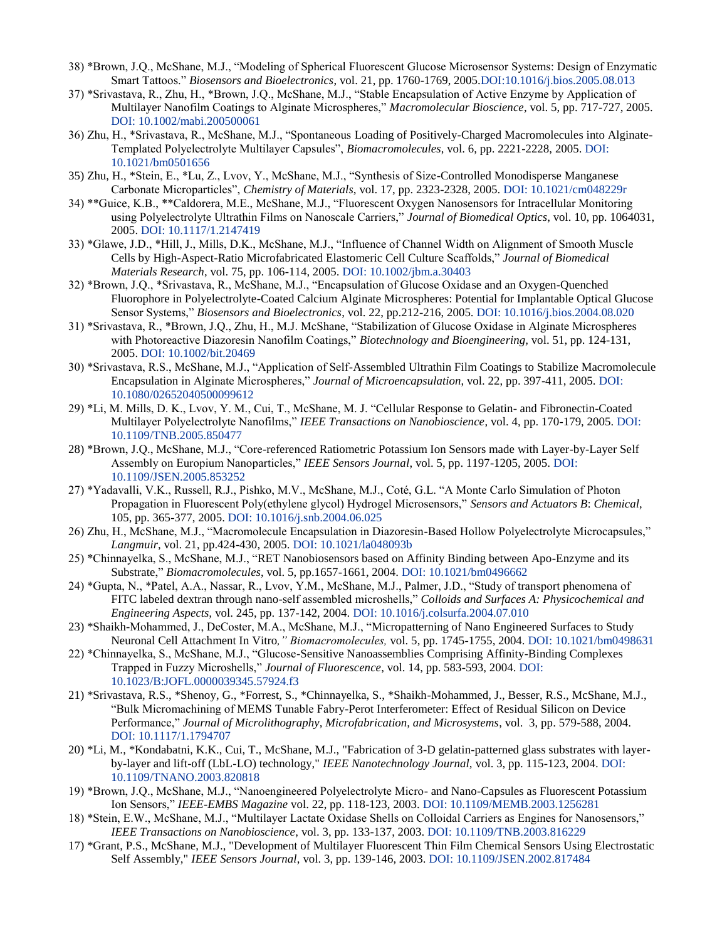- 38) \*Brown, J.Q., McShane, M.J., "Modeling of Spherical Fluorescent Glucose Microsensor Systems: Design of Enzymatic Smart Tattoos." *Biosensors and Bioelectronics*, vol. 21, pp. 1760-1769, 200[5.DOI:10.1016/j.bios.2005.08.013](http://dx.doi.org/10.1016/j.bios.2005.08.013)
- 37) \*Srivastava, R., Zhu, H., \*Brown, J.Q., McShane, M.J., "Stable Encapsulation of Active Enzyme by Application of Multilayer Nanofilm Coatings to Alginate Microspheres," *Macromolecular Bioscience*, vol. 5, pp. 717-727, 2005. [DOI: 10.1002/mabi.200500061](http://dx.doi.org/10.1002/mabi.200500061)
- 36) Zhu, H., \*Srivastava, R., McShane, M.J., "Spontaneous Loading of Positively-Charged Macromolecules into Alginate-Templated Polyelectrolyte Multilayer Capsules", *Biomacromolecules*, vol. 6, pp. 2221-2228, 2005. [DOI:](http://dx.doi.org/10.1021/bm0501656)  [10.1021/bm0501656](http://dx.doi.org/10.1021/bm0501656)
- 35) Zhu, H., \*Stein, E., \*Lu, Z., Lvov, Y., McShane, M.J., "Synthesis of Size-Controlled Monodisperse Manganese Carbonate Microparticles", *Chemistry of Materials*, vol. 17, pp. 2323-2328, 2005. [DOI: 10.1021/cm048229r](http://dx.doi.org/10.1021/cm048229r)
- 34) \*\*Guice, K.B., \*\*Caldorera, M.E., McShane, M.J., "Fluorescent Oxygen Nanosensors for Intracellular Monitoring using Polyelectrolyte Ultrathin Films on Nanoscale Carriers," *Journal of Biomedical Optics*, vol. 10, pp. 1064031, 2005. [DOI: 10.1117/1.2147419](http://dx.doi.org/10.1117/1.2147419)
- 33) \*Glawe, J.D., \*Hill, J., Mills, D.K., McShane, M.J., "Influence of Channel Width on Alignment of Smooth Muscle Cells by High-Aspect-Ratio Microfabricated Elastomeric Cell Culture Scaffolds," *Journal of Biomedical Materials Research*, vol. 75, pp. 106-114, 2005. [DOI: 10.1002/jbm.a.30403](http://dx.doi.org/10.1002/jbm.a.30403)
- 32) \*Brown, J.Q., \*Srivastava, R., McShane, M.J., "Encapsulation of Glucose Oxidase and an Oxygen-Quenched Fluorophore in Polyelectrolyte-Coated Calcium Alginate Microspheres: Potential for Implantable Optical Glucose Sensor Systems," *Biosensors and Bioelectronics*, vol. 22, pp.212-216, 2005. [DOI: 10.1016/j.bios.2004.08.020](http://dx.doi.org/10.1016/j.bios.2004.08.020)
- 31) \*Srivastava, R., \*Brown, J.Q., Zhu, H., M.J. McShane, "Stabilization of Glucose Oxidase in Alginate Microspheres with Photoreactive Diazoresin Nanofilm Coatings," *Biotechnology and Bioengineering,* vol. 51, pp. 124-131, 2005. [DOI: 10.1002/bit.20469](http://dx.doi.org/10.1002/bit.20469)
- 30) \*Srivastava, R.S., McShane, M.J., "Application of Self-Assembled Ultrathin Film Coatings to Stabilize Macromolecule Encapsulation in Alginate Microspheres," *Journal of Microencapsulation*, vol. 22, pp. 397-411, 2005. [DOI:](http://dx.doi.org/10.1080/02652040500099612)  [10.1080/02652040500099612](http://dx.doi.org/10.1080/02652040500099612)
- 29) \*Li, M. Mills, D. K., Lvov, Y. M., Cui, T., McShane, M. J. "Cellular Response to Gelatin- and Fibronectin-Coated Multilayer Polyelectrolyte Nanofilms," *IEEE Transactions on Nanobioscience*, vol. 4, pp. 170-179, 2005[. DOI:](http://dx.doi.org/10.1109/TNB.2005.850477)  [10.1109/TNB.2005.850477](http://dx.doi.org/10.1109/TNB.2005.850477)
- 28) \*Brown, J.Q., McShane, M.J., "Core-referenced Ratiometric Potassium Ion Sensors made with Layer-by-Layer Self Assembly on Europium Nanoparticles," *IEEE Sensors Journal*, vol. 5, pp. 1197-1205, 2005. [DOI:](http://dx.doi.org/10.1109/JSEN.2005.859252)  [10.1109/JSEN.2005.853252](http://dx.doi.org/10.1109/JSEN.2005.859252)
- 27) \*Yadavalli, V.K., Russell, R.J., Pishko, M.V., McShane, M.J., Coté, G.L. "A Monte Carlo Simulation of Photon Propagation in Fluorescent Poly(ethylene glycol) Hydrogel Microsensors," *Sensors and Actuators B*: *Chemical*, 105, pp. 365-377, 2005. [DOI: 10.1016/j.snb.2004.06.025](http://dx.doi.org/10.1016/j.snb.2004.06.025)
- 26) Zhu, H., McShane, M.J., "Macromolecule Encapsulation in Diazoresin-Based Hollow Polyelectrolyte Microcapsules," *Langmuir*, vol. 21, pp.424-430, 2005. [DOI: 10.1021/la048093b](http://dx.doi.org/10.1021/la048093b)
- 25) \*Chinnayelka, S., McShane, M.J., "RET Nanobiosensors based on Affinity Binding between Apo-Enzyme and its Substrate," *Biomacromolecules*, vol. 5, pp.1657-1661, 2004. [DOI: 10.1021/bm0496662](http://dx.doi.org/10.1021/bm0496662)
- 24) \*Gupta, N., \*Patel, A.A., Nassar, R., Lvov, Y.M., McShane, M.J., Palmer, J.D., "Study of transport phenomena of FITC labeled dextran through nano-self assembled microshells," *Colloids and Surfaces A: Physicochemical and Engineering Aspects,* vol. 245, pp. 137-142, 2004. [DOI: 10.1016/j.colsurfa.2004.07.010](http://dx.doi.org/10.1016/j.colsurfa.2004.07.010)
- 23) \*Shaikh-Mohammed, J., DeCoster, M.A., McShane, M.J., "Micropatterning of Nano Engineered Surfaces to Study Neuronal Cell Attachment In Vitro*," Biomacromolecules,* vol. 5, pp. 1745-1755, 2004. DOI: [10.1021/bm0498631](http://dx.doi.org/10.1021/bm0498631)
- 22) \*Chinnayelka, S., McShane, M.J., "Glucose-Sensitive Nanoassemblies Comprising Affinity-Binding Complexes Trapped in Fuzzy Microshells," *Journal of Fluorescence*, vol. 14, pp. 583-593, 2004. [DOI:](http://dx.doi.org/10.1023/B:JOFL.0000039345.57924.f3)  [10.1023/B:JOFL.0000039345.57924.f3](http://dx.doi.org/10.1023/B:JOFL.0000039345.57924.f3)
- 21) \*Srivastava, R.S., \*Shenoy, G., \*Forrest, S., \*Chinnayelka, S., \*Shaikh-Mohammed, J., Besser, R.S., McShane, M.J., "Bulk Micromachining of MEMS Tunable Fabry-Perot Interferometer: Effect of Residual Silicon on Device Performance," *Journal of Microlithography, Microfabrication, and Microsystems*, vol. 3, pp. 579-588, 2004. [DOI: 10.1117/1.1794707](http://dx.doi.org/10.1117/1.1794707)
- 20) \*Li, M., \*Kondabatni, K.K., Cui, T., McShane, M.J., "Fabrication of 3-D gelatin-patterned glass substrates with layerby-layer and lift-off (LbL-LO) technology," *IEEE Nanotechnology Journal,* vol. 3, pp. 115-123, 2004[. DOI:](http://dx.doi.org/10.1109/TNANO.2003.820818)  [10.1109/TNANO.2003.820818](http://dx.doi.org/10.1109/TNANO.2003.820818)
- 19) \*Brown, J.Q., McShane, M.J., "Nanoengineered Polyelectrolyte Micro- and Nano-Capsules as Fluorescent Potassium Ion Sensors," *IEEE-EMBS Magazine* vol. 22, pp. 118-123, 2003. [DOI: 10.1109/MEMB.2003.1256281](http://dx.doi.org/10.1109/MEMB.2003.1256281)
- 18) \*Stein, E.W., McShane, M.J., "Multilayer Lactate Oxidase Shells on Colloidal Carriers as Engines for Nanosensors," *IEEE Transactions on Nanobioscience*, vol. 3, pp. 133-137, 2003. [DOI: 10.1109/TNB.2003.816229](http://dx.doi.org/10.1109/TNB.2003.816229)
- 17) \*Grant, P.S., McShane, M.J., "Development of Multilayer Fluorescent Thin Film Chemical Sensors Using Electrostatic Self Assembly," *IEEE Sensors Journal*, vol. 3, pp. 139-146, 2003. [DOI: 10.1109/JSEN.2002.817484](http://dx.doi.org/10.1109/JSEN.2002.817484)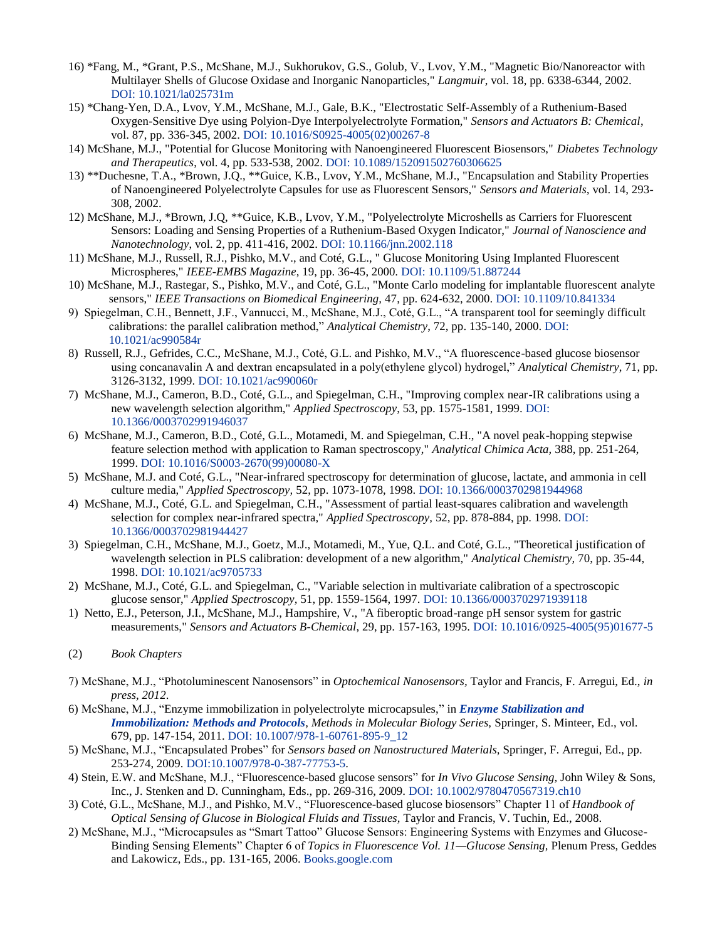- 16) \*Fang, M., \*Grant, P.S., McShane, M.J., Sukhorukov, G.S., Golub, V., Lvov, Y.M., "Magnetic Bio/Nanoreactor with Multilayer Shells of Glucose Oxidase and Inorganic Nanoparticles," *Langmuir*, vol. 18, pp. 6338-6344, 2002. [DOI: 10.1021/la025731m](http://dx.doi.org/10.1021/la025731m)
- 15) \*Chang-Yen, D.A., Lvov, Y.M., McShane, M.J., Gale, B.K., "Electrostatic Self-Assembly of a Ruthenium-Based Oxygen-Sensitive Dye using Polyion-Dye Interpolyelectrolyte Formation," *Sensors and Actuators B: Chemical*, vol. 87, pp. 336-345, 2002. [DOI: 10.1016/S0925-4005\(02\)00267-8](http://dx.doi.org/10.1016/S0925-4005(02)00267-8)
- 14) McShane, M.J., "Potential for Glucose Monitoring with Nanoengineered Fluorescent Biosensors," *Diabetes Technology and Therapeutics*, vol. 4, pp. 533-538, 2002. [DOI: 10.1089/152091502760306625](http://dx.doi.org/10.1089/152091502760306625)
- 13) \*\*Duchesne, T.A., \*Brown, J.Q., \*\*Guice, K.B., Lvov, Y.M., McShane, M.J., "Encapsulation and Stability Properties of Nanoengineered Polyelectrolyte Capsules for use as Fluorescent Sensors," *Sensors and Materials,* vol. 14, 293- 308, 2002.
- 12) McShane, M.J., \*Brown, J.Q, \*\*Guice, K.B., Lvov, Y.M., "Polyelectrolyte Microshells as Carriers for Fluorescent Sensors: Loading and Sensing Properties of a Ruthenium-Based Oxygen Indicator," *Journal of Nanoscience and Nanotechnology*, vol. 2, pp. 411-416, 2002. [DOI: 10.1166/jnn.2002.118](http://dx.doi.org/10.1166/jnn.2002.118)
- 11) McShane, M.J., Russell, R.J., Pishko, M.V., and Coté, G.L., " Glucose Monitoring Using Implanted Fluorescent Microspheres," *IEEE-EMBS Magazine*, 19, pp. 36-45, 2000. [DOI: 10.1109/51.887244](http://dx.doi.org/10.1109/51.887244)
- 10) McShane, M.J., Rastegar, S., Pishko, M.V., and Coté, G.L., "Monte Carlo modeling for implantable fluorescent analyte sensors," *IEEE Transactions on Biomedical Engineering,* 47, pp. 624-632, 2000. [DOI: 10.1109/10.841334](http://dx.doi.org/10.1109/10.841334)
- 9) Spiegelman, C.H., Bennett, J.F., Vannucci, M., McShane, M.J., Coté, G.L., "A transparent tool for seemingly difficult calibrations: the parallel calibration method," *Analytical Chemistry*, 72, pp. 135-140, 2000. [DOI:](http://dx.doi.org/10.1021/ac990584r)  [10.1021/ac990584r](http://dx.doi.org/10.1021/ac990584r)
- 8) Russell, R.J., Gefrides, C.C., McShane, M.J., Coté, G.L. and Pishko, M.V., "A fluorescence-based glucose biosensor using concanavalin A and dextran encapsulated in a poly(ethylene glycol) hydrogel," *Analytical Chemistry*, 71, pp. 3126-3132, 1999. [DOI: 10.1021/ac990060r](http://dx.doi.org/10.1021/ac990060r)
- 7) McShane, M.J., Cameron, B.D., Coté, G.L., and Spiegelman, C.H., "Improving complex near-IR calibrations using a new wavelength selection algorithm," *Applied Spectroscopy*, 53, pp. 1575-1581, 1999. [DOI:](http://dx.doi.org/10.1366/000370299194603710.1016/S0003-2670(99)00080-X)  [10.1366/0003702991946037](http://dx.doi.org/10.1366/000370299194603710.1016/S0003-2670(99)00080-X)
- 6) McShane, M.J., Cameron, B.D., Coté, G.L., Motamedi, M. and Spiegelman, C.H., "A novel peak-hopping stepwise feature selection method with application to Raman spectroscopy," *Analytical Chimica Acta,* 388, pp. 251-264, 1999. [DOI: 10.1016/S0003-2670\(99\)00080-X](http://dx.doi.org/10.1016/S0003-2670(99)00080-X)
- 5) McShane, M.J. and Coté, G.L., "Near-infrared spectroscopy for determination of glucose, lactate, and ammonia in cell culture media," *Applied Spectroscopy,* 52, pp. 1073-1078, 1998. [DOI: 10.1366/0003702981944968](http://dx.doi.org/10.1366/0003702981944968)
- 4) McShane, M.J., Coté, G.L. and Spiegelman, C.H., "Assessment of partial least-squares calibration and wavelength selection for complex near-infrared spectra," *Applied Spectroscopy,* 52, pp. 878-884, pp. 1998. [DOI:](http://dx.doi.org/10.1366/0003702981944427)  [10.1366/0003702981944427](http://dx.doi.org/10.1366/0003702981944427)
- 3) Spiegelman, C.H., McShane, M.J., Goetz, M.J., Motamedi, M., Yue, Q.L. and Coté, G.L., "Theoretical justification of wavelength selection in PLS calibration: development of a new algorithm," *Analytical Chemistry,* 70, pp. 35-44, 1998. [DOI: 10.1021/ac9705733](http://dx.doi.org/10.1021/ac9705733)
- 2) McShane, M.J., Coté, G.L. and Spiegelman, C., "Variable selection in multivariate calibration of a spectroscopic glucose sensor," *Applied Spectroscopy,* 51, pp. 1559-1564, 1997. [DOI: 10.1366/0003702971939118](http://dx.doi.org/10.1366/0003702971939118)
- 1) Netto, E.J., Peterson, J.I., McShane, M.J., Hampshire, V., "A fiberoptic broad-range pH sensor system for gastric measurements," *Sensors and Actuators B-Chemical*, 29, pp. 157-163, 1995. [DOI: 10.1016/0925-4005\(95\)01677-5](http://dx.doi.org/10.1016/0925-4005(95)01677-5)
- (2) *Book Chapters*
- 7) McShane, M.J., "Photoluminescent Nanosensors" in *Optochemical Nanosensors,* Taylor and Francis, F. Arregui, Ed., *in press, 2012*.
- 6) McShane, M.J., "Enzyme immobilization in polyelectrolyte microcapsules," in *[Enzyme Stabilization and](http://www.springerprotocols.com/BookToc/doi/10.1007/978-1-60761-895-9?uri=/Pdf/doi/10.1007/978-1-60761-895-9_12)  [Immobilization: Methods and Protocols](http://www.springerprotocols.com/BookToc/doi/10.1007/978-1-60761-895-9?uri=/Pdf/doi/10.1007/978-1-60761-895-9_12), Methods in Molecular Biology Series,* Springer, S. Minteer, Ed., vol. 679, pp. 147-154, 2011. DOI: [10.1007/978-1-60761-895-9\\_12](http://dx.doi.org/10.1007/978-1-60761-895-9_12)
- 5) McShane, M.J., "Encapsulated Probes" for *Sensors based on Nanostructured Materials,* Springer, F. Arregui, Ed., pp. 253-274, 2009. [DOI:10.1007/978-0-387-77753-5.](http://dx.doi.org/10.1007/978-0-387-77753-5)
- 4) Stein, E.W. and McShane, M.J., "Fluorescence-based glucose sensors" for *In Vivo Glucose Sensing,* John Wiley & Sons, Inc., J. Stenken and D. Cunningham, Eds., pp. 269-316, 2009. [DOI: 10.1002/9780470567319.ch10](http://dx.doi.org/10.1002/9780470567319.ch10)
- 3) Coté, G.L., McShane, M.J., and Pishko, M.V., "Fluorescence-based glucose biosensors" Chapter 11 of *Handbook of Optical Sensing of Glucose in Biological Fluids and Tissues,* Taylor and Francis, V. Tuchin, Ed., 2008.
- 2) McShane, M.J., "Microcapsules as "Smart Tattoo" Glucose Sensors: Engineering Systems with Enzymes and Glucose-Binding Sensing Elements" Chapter 6 of *Topics in Fluorescence Vol. 11—Glucose Sensing,* Plenum Press, Geddes and Lakowicz, Eds., pp. 131-165, 2006. [Books.google.com](http://books.google.com/books?id=b72ARCd0YwEC&lpg=PA131&dq=geddes%20lakowicz%20glucose%20sensing%20fluorescence&pg=PA131#v=onepage&q=geddes%20lakowicz%20glucose%20sensing%20fluorescence&f=false)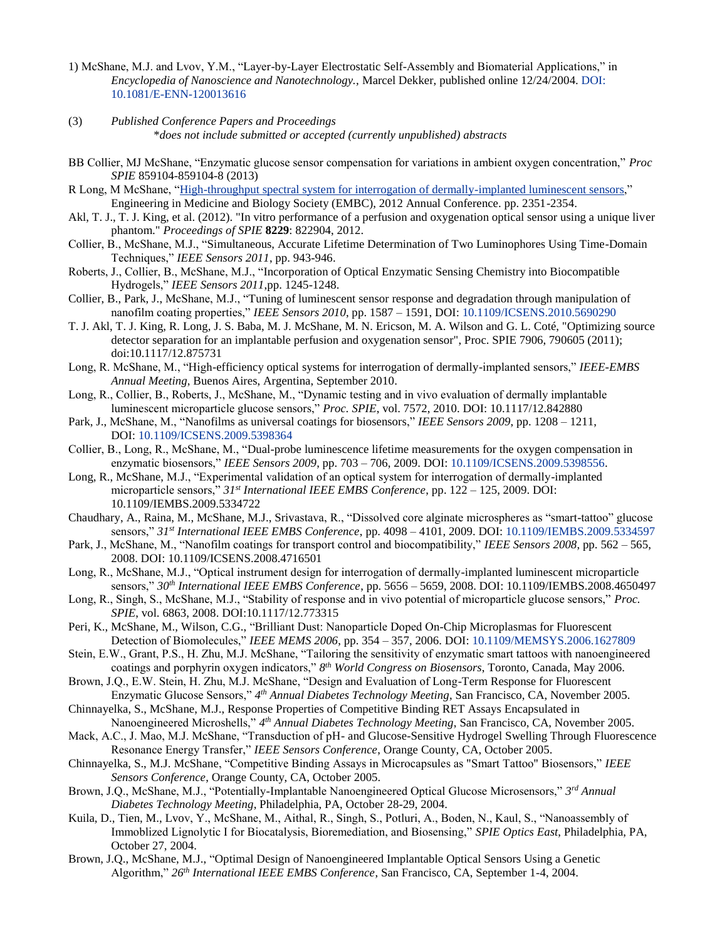- 1) McShane, M.J. and Lvov, Y.M., "Layer-by-Layer Electrostatic Self-Assembly and Biomaterial Applications," in *Encyclopedia of Nanoscience and Nanotechnology.,* Marcel Dekker, published online 12/24/2004. [DOI:](http://dx.doi.org/10.1081/E-ENN-120013616)  [10.1081/E-ENN-120013616](http://dx.doi.org/10.1081/E-ENN-120013616)
- (3) *Published Conference Papers and Proceedings*

\**does not include submitted or accepted (currently unpublished) abstracts*

- BB Collier, MJ McShane, "Enzymatic glucose sensor compensation for variations in ambient oxygen concentration," *Proc SPIE* 859104-859104-8 (2013)
- R Long, M McShane, ["High-throughput spectral system for interrogation of dermally-implanted luminescent sensors,](http://scholar.google.com/citations?view_op=view_citation&hl=en&user=VbWK0N8AAAAJ&sortby=pubdate&citation_for_view=VbWK0N8AAAAJ:S16KYo8Pm5AC)" Engineering in Medicine and Biology Society (EMBC), 2012 Annual Conference. pp. 2351-2354.
- Akl, T. J., T. J. King, et al. (2012). "In vitro performance of a perfusion and oxygenation optical sensor using a unique liver phantom." *Proceedings of SPIE* **8229**: 822904, 2012.
- Collier, B., McShane, M.J., "Simultaneous, Accurate Lifetime Determination of Two Luminophores Using Time-Domain Techniques," *IEEE Sensors 2011*, pp. 943-946.
- Roberts, J., Collier, B., McShane, M.J., "Incorporation of Optical Enzymatic Sensing Chemistry into Biocompatible Hydrogels," *IEEE Sensors 2011*,pp. 1245-1248.
- Collier, B., Park, J., McShane, M.J., "Tuning of luminescent sensor response and degradation through manipulation of nanofilm coating properties," *IEEE Sensors 2010*, pp. 1587 – 1591, DOI: [10.1109/ICSENS.2010.5690290](http://dx.doi.org/10.1109/ICSENS.2010.5690290)
- T. J. Akl, T. J. King, R. Long, J. S. Baba, M. J. McShane, M. N. Ericson, M. A. Wilson and G. L. Coté, "Optimizing source detector separation for an implantable perfusion and oxygenation sensor", Proc. SPIE 7906, 790605 (2011); doi:10.1117/12.875731
- Long, R. McShane, M., "High-efficiency optical systems for interrogation of dermally-implanted sensors," *IEEE-EMBS Annual Meeting*, Buenos Aires, Argentina, September 2010.
- Long, R., Collier, B., Roberts, J., McShane, M., "Dynamic testing and in vivo evaluation of dermally implantable luminescent microparticle glucose sensors," *Proc. SPIE*, vol. 7572, 2010. DOI: 10.1117/12.842880
- Park, J., McShane, M., "Nanofilms as universal coatings for biosensors," *IEEE Sensors 2009*, pp. 1208 1211, DOI: [10.1109/ICSENS.2009.5398364](http://dx.doi.org/10.1109/ICSENS.2009.5398364)
- Collier, B., Long, R., McShane, M., "Dual-probe luminescence lifetime measurements for the oxygen compensation in enzymatic biosensors," *IEEE Sensors 2009*, pp. 703 – 706, 2009. DOI: [10.1109/ICSENS.2009.5398556.](http://dx.doi.org/10.1109/ICSENS.2009.5398556)
- Long, R., McShane, M.J., "Experimental validation of an optical system for interrogation of dermally-implanted microparticle sensors," *31st International IEEE EMBS Conference*, pp. 122 – 125, 2009. DOI: 10.1109/IEMBS.2009.5334722
- Chaudhary, A., Raina, M., McShane, M.J., Srivastava, R., "Dissolved core alginate microspheres as "smart-tattoo" glucose sensors," *31st International IEEE EMBS Conference*, pp. 4098 – 4101, 2009. DOI: [10.1109/IEMBS.2009.5334597](http://dx.doi.org/10.1109/IEMBS.2009.5334597)
- Park, J., McShane, M., "Nanofilm coatings for transport control and biocompatibility," *IEEE Sensors 2008*, pp. 562 565, 2008. DOI: 10.1109/ICSENS.2008.4716501
- Long, R., McShane, M.J., "Optical instrument design for interrogation of dermally-implanted luminescent microparticle sensors," *30th International IEEE EMBS Conference*, pp. 5656 – 5659, 2008. DOI: 10.1109/IEMBS.2008.4650497
- Long, R., Singh, S., McShane, M.J., "Stability of response and in vivo potential of microparticle glucose sensors," *Proc. SPIE*, vol. 6863, 2008. DOI:10.1117/12.773315
- Peri, K., McShane, M., Wilson, C.G., "Brilliant Dust: Nanoparticle Doped On-Chip Microplasmas for Fluorescent Detection of Biomolecules," *IEEE MEMS 2006*, pp. 354 – 357, 2006. DOI: [10.1109/MEMSYS.2006.1627809](http://dx.doi.org/10.1109/MEMSYS.2006.1627809)
- Stein, E.W., Grant, P.S., H. Zhu, M.J. McShane, "Tailoring the sensitivity of enzymatic smart tattoos with nanoengineered coatings and porphyrin oxygen indicators," *8 th World Congress on Biosensors*, Toronto, Canada, May 2006.
- Brown, J.Q., E.W. Stein, H. Zhu, M.J. McShane, "Design and Evaluation of Long-Term Response for Fluorescent Enzymatic Glucose Sensors," *4 th Annual Diabetes Technology Meeting*, San Francisco, CA, November 2005.
- Chinnayelka, S., McShane, M.J., Response Properties of Competitive Binding RET Assays Encapsulated in Nanoengineered Microshells," *4 th Annual Diabetes Technology Meeting*, San Francisco, CA, November 2005.
- Mack, A.C., J. Mao, M.J. McShane, "Transduction of pH- and Glucose-Sensitive Hydrogel Swelling Through Fluorescence Resonance Energy Transfer," *IEEE Sensors Conference*, Orange County, CA, October 2005.
- Chinnayelka, S., M.J. McShane, "Competitive Binding Assays in Microcapsules as "Smart Tattoo" Biosensors," *IEEE Sensors Conference*, Orange County, CA, October 2005.
- Brown, J.Q., McShane, M.J., "Potentially-Implantable Nanoengineered Optical Glucose Microsensors," *3 rd Annual Diabetes Technology Meeting*, Philadelphia, PA, October 28-29, 2004.
- Kuila, D., Tien, M., Lvov, Y., McShane, M., Aithal, R., Singh, S., Potluri, A., Boden, N., Kaul, S., "Nanoassembly of Immoblized Lignolytic I for Biocatalysis, Bioremediation, and Biosensing," *SPIE Optics East*, Philadelphia, PA, October 27, 2004.
- Brown, J.Q., McShane, M.J., "Optimal Design of Nanoengineered Implantable Optical Sensors Using a Genetic Algorithm," *26th International IEEE EMBS Conference*, San Francisco, CA, September 1-4, 2004.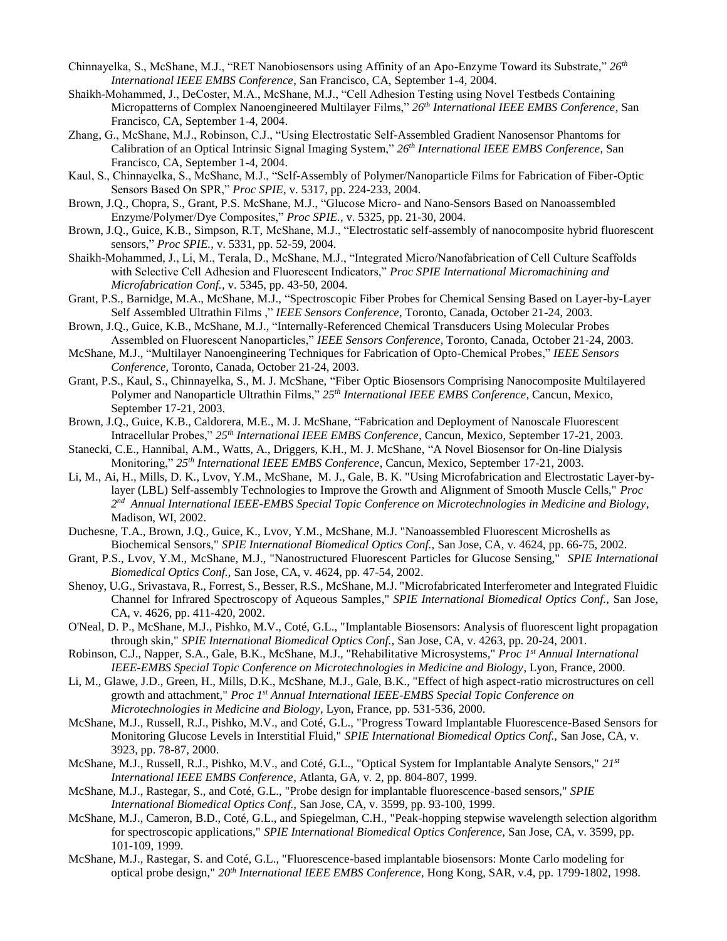- Chinnayelka, S., McShane, M.J., "RET Nanobiosensors using Affinity of an Apo-Enzyme Toward its Substrate," *26th International IEEE EMBS Conference*, San Francisco, CA, September 1-4, 2004.
- Shaikh-Mohammed, J., DeCoster, M.A., McShane, M.J., "Cell Adhesion Testing using Novel Testbeds Containing Micropatterns of Complex Nanoengineered Multilayer Films," *26th International IEEE EMBS Conference*, San Francisco, CA, September 1-4, 2004.
- Zhang, G., McShane, M.J., Robinson, C.J., "Using Electrostatic Self-Assembled Gradient Nanosensor Phantoms for Calibration of an Optical Intrinsic Signal Imaging System," *26th International IEEE EMBS Conference*, San Francisco, CA, September 1-4, 2004.
- Kaul, S., Chinnayelka, S., McShane, M.J., "Self-Assembly of Polymer/Nanoparticle Films for Fabrication of Fiber-Optic Sensors Based On SPR," *Proc SPIE,* v. 5317, pp. 224-233, 2004.
- Brown, J.Q., Chopra, S., Grant, P.S. McShane, M.J., "Glucose Micro- and Nano-Sensors Based on Nanoassembled Enzyme/Polymer/Dye Composites," *Proc SPIE.,* v. 5325, pp. 21-30, 2004.
- Brown, J.Q., Guice, K.B., Simpson, R.T, McShane, M.J., ["Electrostatic self-assembly of nanocomposite hybrid fluorescent](http://bookstore.spie.org/index.cfm?fuseaction=detailpaper&cachedsearch=1&productid=529793&producttype=pdf&CFID=1017563&CFTOKEN=8648752)  [sensors,](http://bookstore.spie.org/index.cfm?fuseaction=detailpaper&cachedsearch=1&productid=529793&producttype=pdf&CFID=1017563&CFTOKEN=8648752)" *Proc SPIE.,* v. 5331, pp. 52-59, 2004.
- Shaikh-Mohammed, J., Li, M., Terala, D., McShane, M.J., "Integrated Micro/Nanofabrication of Cell Culture Scaffolds with Selective Cell Adhesion and Fluorescent Indicators," *Proc SPIE International Micromachining and Microfabrication Conf.,* v. 5345, pp. 43-50, 2004.
- Grant, P.S., Barnidge, M.A., McShane, M.J., "Spectroscopic Fiber Probes for Chemical Sensing Based on Layer-by-Layer Self Assembled Ultrathin Films ," *IEEE Sensors Conference*, Toronto, Canada, October 21-24, 2003.
- Brown, J.Q., Guice, K.B., McShane, M.J., "Internally-Referenced Chemical Transducers Using Molecular Probes Assembled on Fluorescent Nanoparticles," *IEEE Sensors Conference*, Toronto, Canada, October 21-24, 2003.
- McShane, M.J., "Multilayer Nanoengineering Techniques for Fabrication of Opto-Chemical Probes," *IEEE Sensors Conference*, Toronto, Canada, October 21-24, 2003.
- Grant, P.S., Kaul, S., Chinnayelka, S., M. J. McShane, "Fiber Optic Biosensors Comprising Nanocomposite Multilayered Polymer and Nanoparticle Ultrathin Films," *25th International IEEE EMBS Conference*, Cancun, Mexico, September 17-21, 2003.
- Brown, J.Q., Guice, K.B., Caldorera, M.E., M. J. McShane, "Fabrication and Deployment of Nanoscale Fluorescent Intracellular Probes," *25th International IEEE EMBS Conference*, Cancun, Mexico, September 17-21, 2003.
- Stanecki, C.E., Hannibal, A.M., Watts, A., Driggers, K.H., M. J. McShane, "A Novel Biosensor for On-line Dialysis Monitoring," *25th International IEEE EMBS Conference*, Cancun, Mexico, September 17-21, 2003.
- Li, M., Ai, H., Mills, D. K., Lvov, Y.M., McShane, M. J., Gale, B. K. "Using Microfabrication and Electrostatic Layer-bylayer (LBL) Self-assembly Technologies to Improve the Growth and Alignment of Smooth Muscle Cells," *Proc 2 nd Annual International IEEE-EMBS Special Topic Conference on Microtechnologies in Medicine and Biology*, Madison, WI, 2002.
- Duchesne, T.A., Brown, J.Q., Guice, K., Lvov, Y.M., McShane, M.J. "Nanoassembled Fluorescent Microshells as Biochemical Sensors," *SPIE International Biomedical Optics Conf.,* San Jose, CA, v. 4624, pp. 66-75, 2002.
- Grant, P.S., Lvov, Y.M., McShane, M.J., "Nanostructured Fluorescent Particles for Glucose Sensing," *SPIE International Biomedical Optics Conf.,* San Jose, CA, v. 4624, pp. 47-54, 2002.
- Shenoy, U.G., Srivastava, R., Forrest, S., Besser, R.S., McShane, M.J. "Microfabricated Interferometer and Integrated Fluidic Channel for Infrared Spectroscopy of Aqueous Samples," *SPIE International Biomedical Optics Conf.,* San Jose, CA, v. 4626, pp. 411-420, 2002.
- O'Neal, D. P., McShane, M.J., Pishko, M.V., Coté, G.L., "Implantable Biosensors: Analysis of fluorescent light propagation through skin," *SPIE International Biomedical Optics Conf.,* San Jose, CA, v. 4263, pp. 20-24, 2001.
- Robinson, C.J., Napper, S.A., Gale, B.K., McShane, M.J., "Rehabilitative Microsystems," *Proc 1 st Annual International IEEE-EMBS Special Topic Conference on Microtechnologies in Medicine and Biology*, Lyon, France, 2000.
- Li, M., Glawe, J.D., Green, H., Mills, D.K., McShane, M.J., Gale, B.K., "Effect of high aspect-ratio microstructures on cell growth and attachment," *Proc 1 st Annual International IEEE-EMBS Special Topic Conference on Microtechnologies in Medicine and Biology*, Lyon, France, pp. 531-536, 2000.
- McShane, M.J., Russell, R.J., Pishko, M.V., and Coté, G.L., "Progress Toward Implantable Fluorescence-Based Sensors for Monitoring Glucose Levels in Interstitial Fluid," *SPIE International Biomedical Optics Conf.,* San Jose, CA, v. 3923, pp. 78-87, 2000.
- McShane, M.J., Russell, R.J., Pishko, M.V., and Coté, G.L., "Optical System for Implantable Analyte Sensors," *21st International IEEE EMBS Conference*, Atlanta, GA, v. 2, pp. 804-807, 1999.
- McShane, M.J., Rastegar, S., and Coté, G.L., "Probe design for implantable fluorescence-based sensors," *SPIE International Biomedical Optics Conf.,* San Jose, CA, v. 3599, pp. 93-100, 1999.
- McShane, M.J., Cameron, B.D., Coté, G.L., and Spiegelman, C.H., "Peak-hopping stepwise wavelength selection algorithm for spectroscopic applications," *SPIE International Biomedical Optics Conference,* San Jose, CA, v. 3599, pp. 101-109, 1999.
- McShane, M.J., Rastegar, S. and Coté, G.L., "Fluorescence-based implantable biosensors: Monte Carlo modeling for optical probe design," *20th International IEEE EMBS Conference*, Hong Kong, SAR, v.4, pp. 1799-1802, 1998.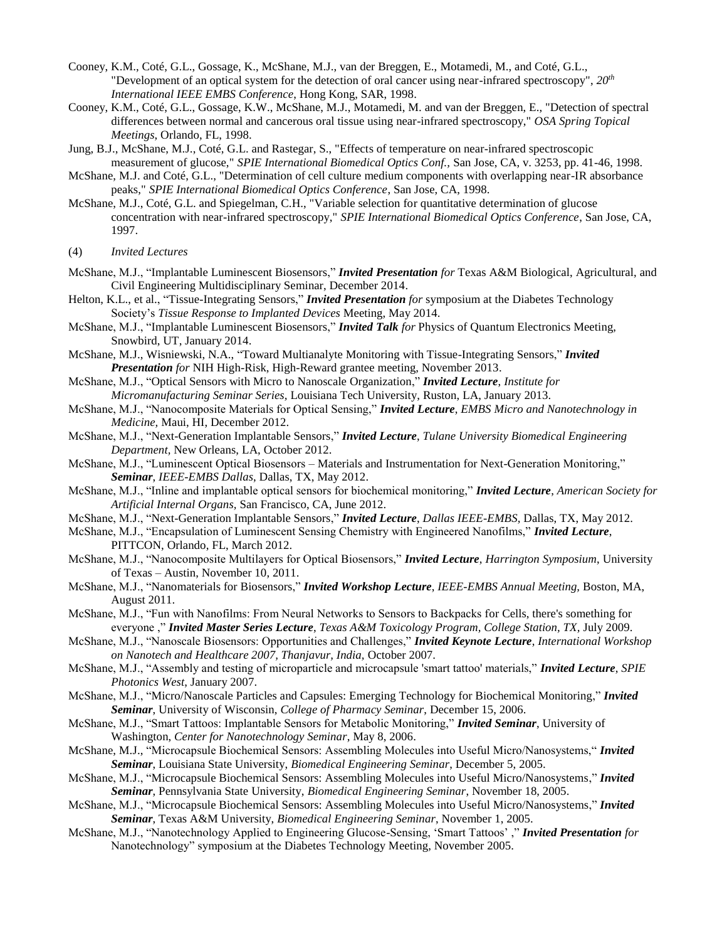- Cooney, K.M., Coté, G.L., Gossage, K., McShane, M.J., van der Breggen, E., Motamedi, M., and Coté, G.L., "Development of an optical system for the detection of oral cancer using near-infrared spectroscopy", *20th International IEEE EMBS Conference*, Hong Kong, SAR, 1998.
- Cooney, K.M., Coté, G.L., Gossage, K.W., McShane, M.J., Motamedi, M. and van der Breggen, E., "Detection of spectral differences between normal and cancerous oral tissue using near-infrared spectroscopy," *OSA Spring Topical Meetings*, Orlando, FL, 1998.
- Jung, B.J., McShane, M.J., Coté, G.L. and Rastegar, S., "Effects of temperature on near-infrared spectroscopic measurement of glucose," *SPIE International Biomedical Optics Conf.,* San Jose, CA, v. 3253, pp. 41-46, 1998.
- McShane, M.J. and Coté, G.L., "Determination of cell culture medium components with overlapping near-IR absorbance peaks," *SPIE International Biomedical Optics Conference*, San Jose, CA, 1998.
- McShane, M.J., Coté, G.L. and Spiegelman, C.H., "Variable selection for quantitative determination of glucose concentration with near-infrared spectroscopy," *SPIE International Biomedical Optics Conference*, San Jose, CA, 1997.
- (4) *Invited Lectures*
- McShane, M.J., "Implantable Luminescent Biosensors," *Invited Presentation for* Texas A&M Biological, Agricultural, and Civil Engineering Multidisciplinary Seminar, December 2014.
- Helton, K.L., et al., "Tissue-Integrating Sensors," *Invited Presentation for* symposium at the Diabetes Technology Society's *Tissue Response to Implanted Devices* Meeting, May 2014.
- McShane, M.J., "Implantable Luminescent Biosensors," *Invited Talk for* Physics of Quantum Electronics Meeting, Snowbird, UT, January 2014.
- McShane, M.J., Wisniewski, N.A., "Toward Multianalyte Monitoring with Tissue-Integrating Sensors," *Invited Presentation for* NIH High-Risk, High-Reward grantee meeting, November 2013.
- McShane, M.J., "Optical Sensors with Micro to Nanoscale Organization," *Invited Lecture*, *Institute for Micromanufacturing Seminar Series,* Louisiana Tech University, Ruston, LA, January 2013.
- McShane, M.J., "Nanocomposite Materials for Optical Sensing," *Invited Lecture*, *EMBS Micro and Nanotechnology in Medicine,* Maui, HI, December 2012.
- McShane, M.J., "Next-Generation Implantable Sensors," *Invited Lecture*, *Tulane University Biomedical Engineering Department,* New Orleans, LA, October 2012.
- McShane, M.J., "Luminescent Optical Biosensors Materials and Instrumentation for Next-Generation Monitoring," *Seminar*, *IEEE-EMBS Dallas*, Dallas, TX, May 2012.
- McShane, M.J., "Inline and implantable optical sensors for biochemical monitoring," *Invited Lecture*, *American Society for Artificial Internal Organs,* San Francisco, CA, June 2012.
- McShane, M.J., "Next-Generation Implantable Sensors," *Invited Lecture*, *Dallas IEEE-EMBS,* Dallas, TX, May 2012.
- McShane, M.J., "Encapsulation of Luminescent Sensing Chemistry with Engineered Nanofilms," *Invited Lecture*, PITTCON, Orlando, FL, March 2012.
- McShane, M.J., "Nanocomposite Multilayers for Optical Biosensors," *Invited Lecture*, *Harrington Symposium*, University of Texas – Austin, November 10, 2011.
- McShane, M.J., "Nanomaterials for Biosensors," *Invited Workshop Lecture*, *IEEE-EMBS Annual Meeting,* Boston, MA, August 2011.
- McShane, M.J., "Fun with Nanofilms: From Neural Networks to Sensors to Backpacks for Cells, there's something for everyone ," *Invited Master Series Lecture*, *Texas A&M Toxicology Program, College Station, TX,* July 2009.
- McShane, M.J., "Nanoscale Biosensors: Opportunities and Challenges," *Invited Keynote Lecture*, *International Workshop on Nanotech and Healthcare 2007, Thanjavur, India,* October 2007.
- McShane, M.J., "Assembly and testing of microparticle and microcapsule 'smart tattoo' materials," *Invited Lecture*, *SPIE Photonics West*, January 2007.
- McShane, M.J., "Micro/Nanoscale Particles and Capsules: Emerging Technology for Biochemical Monitoring," *Invited Seminar*, University of Wisconsin, *College of Pharmacy Seminar*, December 15, 2006.
- McShane, M.J., "Smart Tattoos: Implantable Sensors for Metabolic Monitoring," *Invited Seminar*, University of Washington, *Center for Nanotechnology Seminar*, May 8, 2006.
- McShane, M.J., "Microcapsule Biochemical Sensors: Assembling Molecules into Useful Micro/Nanosystems," *Invited Seminar*, Louisiana State University, *Biomedical Engineering Seminar*, December 5, 2005.
- McShane, M.J., "Microcapsule Biochemical Sensors: Assembling Molecules into Useful Micro/Nanosystems," *Invited Seminar*, Pennsylvania State University, *Biomedical Engineering Seminar*, November 18, 2005.
- McShane, M.J., "Microcapsule Biochemical Sensors: Assembling Molecules into Useful Micro/Nanosystems," *Invited Seminar*, Texas A&M University, *Biomedical Engineering Seminar*, November 1, 2005.
- McShane, M.J., "Nanotechnology Applied to Engineering Glucose-Sensing, 'Smart Tattoos' ," *Invited Presentation for* Nanotechnology" symposium at the Diabetes Technology Meeting, November 2005.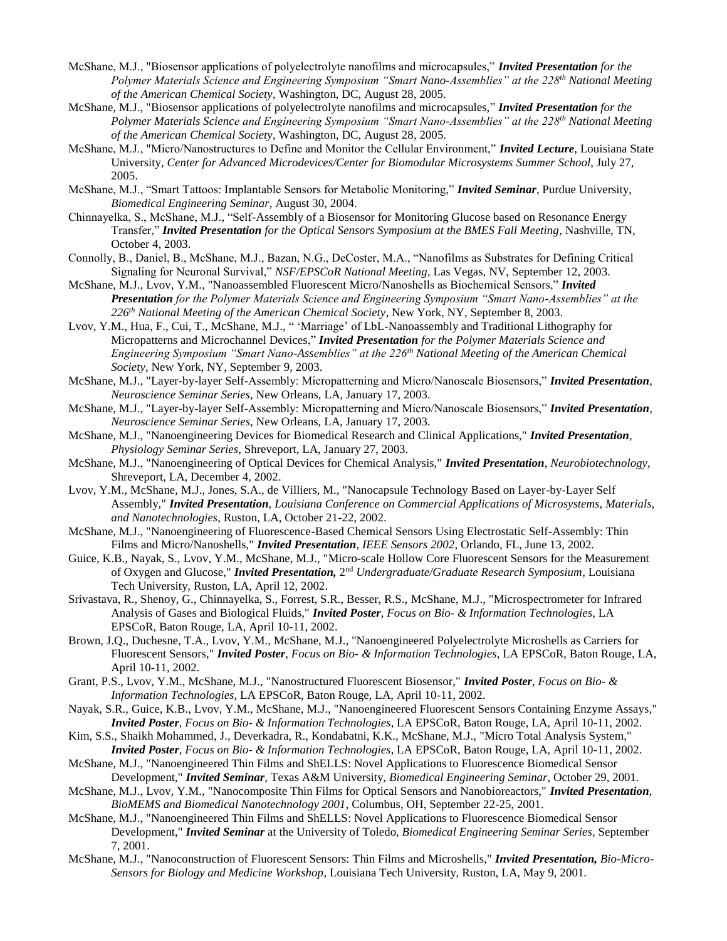- McShane, M.J., "Biosensor applications of polyelectrolyte nanofilms and microcapsules," *Invited Presentation for the Polymer Materials Science and Engineering Symposium "Smart Nano-Assemblies" at the 228th National Meeting of the American Chemical Society*, Washington, DC, August 28, 2005.
- McShane, M.J., "Biosensor applications of polyelectrolyte nanofilms and microcapsules," *Invited Presentation for the Polymer Materials Science and Engineering Symposium "Smart Nano-Assemblies" at the 228th National Meeting of the American Chemical Society*, Washington, DC, August 28, 2005.
- McShane, M.J., "Micro/Nanostructures to Define and Monitor the Cellular Environment," *Invited Lecture*, Louisiana State University, *Center for Advanced Microdevices/Center for Biomodular Microsystems Summer School*, July 27, 2005.
- McShane, M.J., "Smart Tattoos: Implantable Sensors for Metabolic Monitoring," *Invited Seminar*, Purdue University, *Biomedical Engineering Seminar*, August 30, 2004.
- Chinnayelka, S., McShane, M.J., "Self-Assembly of a Biosensor for Monitoring Glucose based on Resonance Energy Transfer," *Invited Presentation for the Optical Sensors Symposium at the BMES Fall Meeting*, Nashville, TN, October 4, 2003.
- Connolly, B., Daniel, B., McShane, M.J., Bazan, N.G., DeCoster, M.A., "Nanofilms as Substrates for Defining Critical Signaling for Neuronal Survival," *NSF/EPSCoR National Meeting*, Las Vegas, NV, September 12, 2003.
- McShane, M.J., Lvov, Y.M., "Nanoassembled Fluorescent Micro/Nanoshells as Biochemical Sensors," *Invited Presentation for the Polymer Materials Science and Engineering Symposium "Smart Nano-Assemblies" at the 226th National Meeting of the American Chemical Society*, New York, NY, September 8, 2003.
- Lvov, Y.M., Hua, F., Cui, T., McShane, M.J., " 'Marriage' of LbL-Nanoassembly and Traditional Lithography for Micropatterns and Microchannel Devices," *Invited Presentation for the Polymer Materials Science and Engineering Symposium "Smart Nano-Assemblies" at the 226th National Meeting of the American Chemical Society*, New York, NY, September 9, 2003.
- McShane, M.J., "Layer-by-layer Self-Assembly: Micropatterning and Micro/Nanoscale Biosensors," *Invited Presentation*, *Neuroscience Seminar Series*, New Orleans, LA, January 17, 2003.
- McShane, M.J., "Layer-by-layer Self-Assembly: Micropatterning and Micro/Nanoscale Biosensors," *Invited Presentation*, *Neuroscience Seminar Series*, New Orleans, LA, January 17, 2003.
- McShane, M.J., "Nanoengineering Devices for Biomedical Research and Clinical Applications," *Invited Presentation*, *Physiology Seminar Series*, Shreveport, LA, January 27, 2003.
- McShane, M.J., "Nanoengineering of Optical Devices for Chemical Analysis," *Invited Presentation*, *Neurobiotechnology*, Shreveport, LA, December 4, 2002.
- Lvov, Y.M., McShane, M.J., Jones, S.A., de Villiers, M., "Nanocapsule Technology Based on Layer-by-Layer Self Assembly," *Invited Presentation*, *Louisiana Conference on Commercial Applications of Microsystems, Materials, and Nanotechnologies*, Ruston, LA, October 21-22, 2002.
- McShane, M.J., "Nanoengineering of Fluorescence-Based Chemical Sensors Using Electrostatic Self-Assembly: Thin Films and Micro/Nanoshells," *Invited Presentation*, *IEEE Sensors 2002*, Orlando, FL, June 13, 2002.
- Guice, K.B., Nayak, S., Lvov, Y.M., McShane, M.J., "Micro-scale Hollow Core Fluorescent Sensors for the Measurement of Oxygen and Glucose," *Invited Presentation,* 2<sup>nd</sup> Undergraduate/Graduate Research Symposium, Louisiana Tech University, Ruston, LA, April 12, 2002.
- Srivastava, R., Shenoy, G., Chinnayelka, S., Forrest, S.R., Besser, R.S., McShane, M.J., "Microspectrometer for Infrared Analysis of Gases and Biological Fluids," *Invited Poster*, *Focus on Bio- & Information Technologies*, LA EPSCoR, Baton Rouge, LA, April 10-11, 2002.
- Brown, J.Q., Duchesne, T.A., Lvov, Y.M., McShane, M.J., "Nanoengineered Polyelectrolyte Microshells as Carriers for Fluorescent Sensors," *Invited Poster*, *Focus on Bio- & Information Technologies*, LA EPSCoR, Baton Rouge, LA, April 10-11, 2002.
- Grant, P.S., Lvov, Y.M., McShane, M.J., "Nanostructured Fluorescent Biosensor," *Invited Poster*, *Focus on Bio- & Information Technologies*, LA EPSCoR, Baton Rouge, LA, April 10-11, 2002.
- Nayak, S.R., Guice, K.B., Lvov, Y.M., McShane, M.J., "Nanoengineered Fluorescent Sensors Containing Enzyme Assays," *Invited Poster*, *Focus on Bio- & Information Technologies*, LA EPSCoR, Baton Rouge, LA, April 10-11, 2002.
- Kim, S.S., Shaikh Mohammed, J., Deverkadra, R., Kondabatni, K.K., McShane, M.J., "Micro Total Analysis System," *Invited Poster*, *Focus on Bio- & Information Technologies*, LA EPSCoR, Baton Rouge, LA, April 10-11, 2002.
- McShane, M.J., "Nanoengineered Thin Films and ShELLS: Novel Applications to Fluorescence Biomedical Sensor Development," *Invited Seminar*, Texas A&M University, *Biomedical Engineering Seminar*, October 29, 2001.
- McShane, M.J., Lvov, Y.M., "Nanocomposite Thin Films for Optical Sensors and Nanobioreactors," *Invited Presentation*, *BioMEMS and Biomedical Nanotechnology 2001*, Columbus, OH, September 22-25, 2001.
- McShane, M.J., "Nanoengineered Thin Films and ShELLS: Novel Applications to Fluorescence Biomedical Sensor Development," *Invited Seminar* at the University of Toledo, *Biomedical Engineering Seminar Series*, September 7, 2001.
- McShane, M.J., "Nanoconstruction of Fluorescent Sensors: Thin Films and Microshells," *Invited Presentation, Bio-Micro-Sensors for Biology and Medicine Workshop*, Louisiana Tech University, Ruston, LA, May 9, 2001.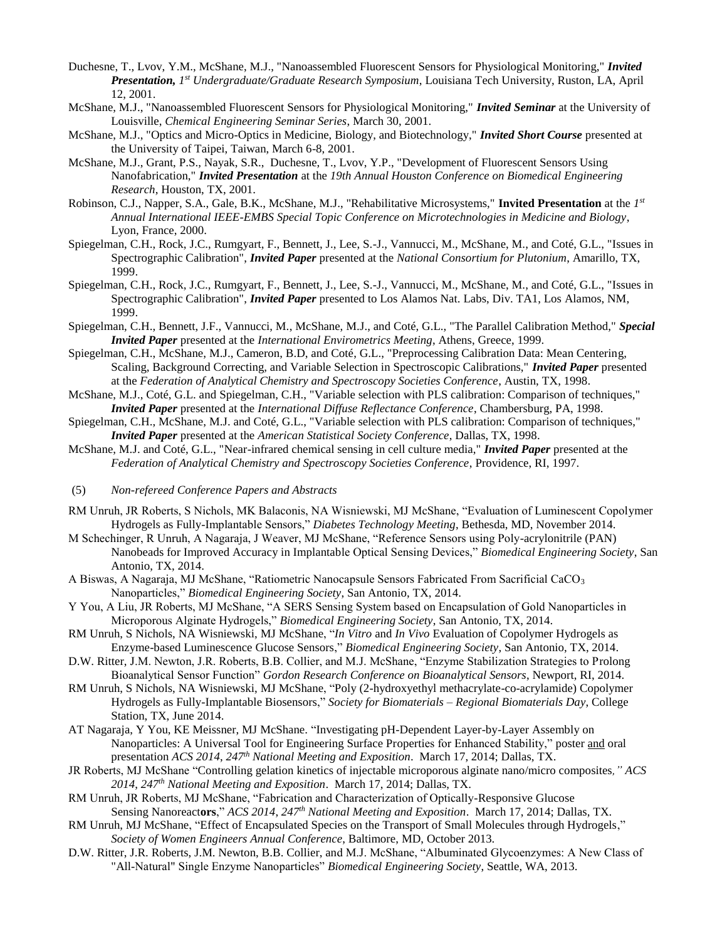- Duchesne, T., Lvov, Y.M., McShane, M.J., "Nanoassembled Fluorescent Sensors for Physiological Monitoring," *Invited Presentation, 1 st Undergraduate/Graduate Research Symposium*, Louisiana Tech University, Ruston, LA, April 12, 2001.
- McShane, M.J., "Nanoassembled Fluorescent Sensors for Physiological Monitoring," *Invited Seminar* at the University of Louisville, *Chemical Engineering Seminar Series*, March 30, 2001.
- McShane, M.J., "Optics and Micro-Optics in Medicine, Biology, and Biotechnology," *Invited Short Course* presented at the University of Taipei, Taiwan, March 6-8, 2001.
- McShane, M.J., Grant, P.S., Nayak, S.R., Duchesne, T., Lvov, Y.P., "Development of Fluorescent Sensors Using Nanofabrication," *Invited Presentation* at the *19th Annual Houston Conference on Biomedical Engineering Research*, Houston, TX, 2001.
- Robinson, C.J., Napper, S.A., Gale, B.K., McShane, M.J., "Rehabilitative Microsystems," **Invited Presentation** at the *1 st Annual International IEEE-EMBS Special Topic Conference on Microtechnologies in Medicine and Biology*, Lyon, France, 2000.
- Spiegelman, C.H., Rock, J.C., Rumgyart, F., Bennett, J., Lee, S.-J., Vannucci, M., McShane, M., and Coté, G.L., "Issues in Spectrographic Calibration", *Invited Paper* presented at the *National Consortium for Plutonium*, Amarillo, TX, 1999.
- Spiegelman, C.H., Rock, J.C., Rumgyart, F., Bennett, J., Lee, S.-J., Vannucci, M., McShane, M., and Coté, G.L., "Issues in Spectrographic Calibration", *Invited Paper* presented to Los Alamos Nat. Labs, Div. TA1, Los Alamos, NM, 1999.
- Spiegelman, C.H., Bennett, J.F., Vannucci, M., McShane, M.J., and Coté, G.L., "The Parallel Calibration Method," *Special Invited Paper* presented at the *International Envirometrics Meeting*, Athens, Greece, 1999.
- Spiegelman, C.H., McShane, M.J., Cameron, B.D, and Coté, G.L., "Preprocessing Calibration Data: Mean Centering, Scaling, Background Correcting, and Variable Selection in Spectroscopic Calibrations," *Invited Paper* presented at the *Federation of Analytical Chemistry and Spectroscopy Societies Conference*, Austin, TX, 1998.
- McShane, M.J., Coté, G.L. and Spiegelman, C.H., "Variable selection with PLS calibration: Comparison of techniques," *Invited Paper* presented at the *International Diffuse Reflectance Conference*, Chambersburg, PA, 1998.
- Spiegelman, C.H., McShane, M.J. and Coté, G.L., "Variable selection with PLS calibration: Comparison of techniques," *Invited Paper* presented at the *American Statistical Society Conference*, Dallas, TX, 1998.
- McShane, M.J. and Coté, G.L., "Near-infrared chemical sensing in cell culture media," *Invited Paper* presented at the *Federation of Analytical Chemistry and Spectroscopy Societies Conference*, Providence, RI, 1997.

#### (5) *Non-refereed Conference Papers and Abstracts*

- RM Unruh, JR Roberts, S Nichols, MK Balaconis, NA Wisniewski, MJ McShane, "Evaluation of Luminescent Copolymer Hydrogels as Fully-Implantable Sensors," *Diabetes Technology Meeting*, Bethesda, MD, November 2014.
- M Schechinger, R Unruh, A Nagaraja, J Weaver, MJ McShane, "Reference Sensors using Poly-acrylonitrile (PAN) Nanobeads for Improved Accuracy in Implantable Optical Sensing Devices," *Biomedical Engineering Society*, San Antonio, TX, 2014.
- A Biswas, A Nagaraja, MJ McShane, "Ratiometric Nanocapsule Sensors Fabricated From Sacrificial CaCO<sup>3</sup> Nanoparticles," *Biomedical Engineering Society*, San Antonio, TX, 2014.
- Y You, A Liu, JR Roberts, MJ McShane, "A SERS Sensing System based on Encapsulation of Gold Nanoparticles in Microporous Alginate Hydrogels," *Biomedical Engineering Society*, San Antonio, TX, 2014.
- RM Unruh, S Nichols, NA Wisniewski, MJ McShane, "*In Vitro* and *In Vivo* Evaluation of Copolymer Hydrogels as Enzyme-based Luminescence Glucose Sensors," *Biomedical Engineering Society*, San Antonio, TX, 2014.
- D.W. Ritter, J.M. Newton, J.R. Roberts, B.B. Collier, and M.J. McShane, "Enzyme Stabilization Strategies to Prolong Bioanalytical Sensor Function" *Gordon Research Conference on Bioanalytical Sensors*, Newport, RI, 2014.
- RM Unruh, S Nichols, NA Wisniewski, MJ McShane, "Poly (2-hydroxyethyl methacrylate-co-acrylamide) Copolymer Hydrogels as Fully-Implantable Biosensors," *Society for Biomaterials – Regional Biomaterials Day*, College Station, TX, June 2014.
- AT Nagaraja, Y You, KE Meissner, MJ McShane. "Investigating pH-Dependent Layer-by-Layer Assembly on Nanoparticles: A Universal Tool for Engineering Surface Properties for Enhanced Stability," poster and oral presentation *ACS 2014*, *247th National Meeting and Exposition*. March 17, 2014; Dallas, TX.
- JR Roberts, MJ McShane "Controlling gelation kinetics of injectable microporous alginate nano/micro composites*," ACS 2014*, *247th National Meeting and Exposition*. March 17, 2014; Dallas, TX.
- RM Unruh, JR Roberts, MJ McShane, "Fabrication and Characterization of Optically-Responsive Glucose Sensing Nanoreact**ors**," *ACS 2014*, *247th National Meeting and Exposition*. March 17, 2014; Dallas, TX.
- RM Unruh, MJ McShane, "Effect of Encapsulated Species on the Transport of Small Molecules through Hydrogels," *Society of Women Engineers Annual Conference*, Baltimore, MD, October 2013.
- D.W. Ritter, J.R. Roberts, J.M. Newton, B.B. Collier, and M.J. McShane, "Albuminated Glycoenzymes: A New Class of "All-Natural" Single Enzyme Nanoparticles" *Biomedical Engineering Society*, Seattle, WA, 2013.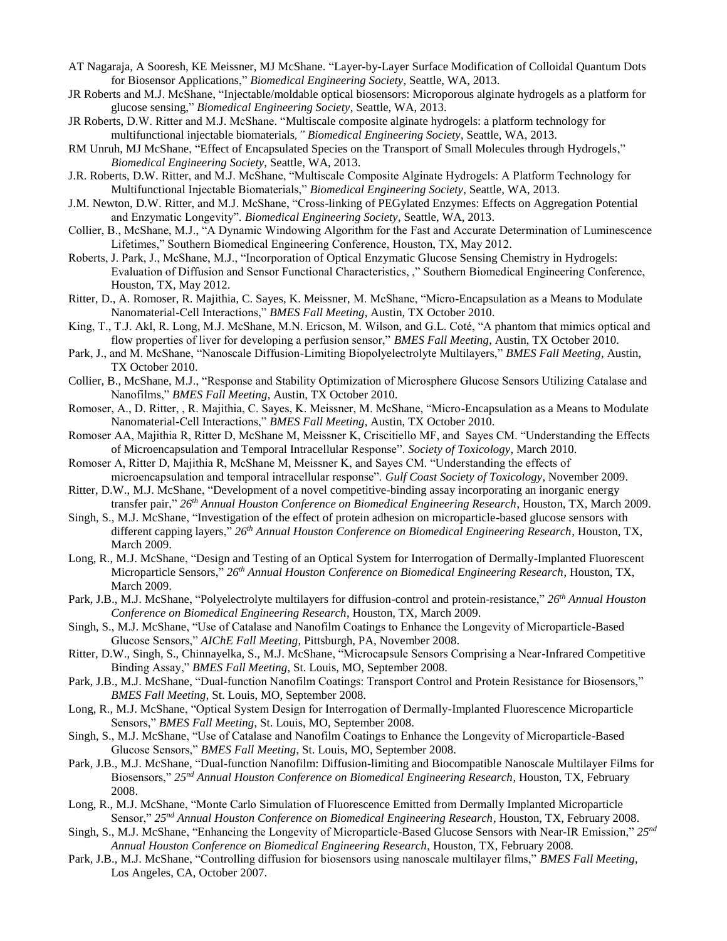- AT Nagaraja, A Sooresh, KE Meissner, MJ McShane. "Layer-by-Layer Surface Modification of Colloidal Quantum Dots for Biosensor Applications," *Biomedical Engineering Society*, Seattle, WA, 2013.
- JR Roberts and M.J. McShane, "Injectable/moldable optical biosensors: Microporous alginate hydrogels as a platform for glucose sensing," *Biomedical Engineering Society*, Seattle, WA, 2013.
- JR Roberts, D.W. Ritter and M.J. McShane. "Multiscale composite alginate hydrogels: a platform technology for multifunctional injectable biomaterials*," Biomedical Engineering Society*, Seattle, WA, 2013.
- RM Unruh, MJ McShane, "Effect of Encapsulated Species on the Transport of Small Molecules through Hydrogels," *Biomedical Engineering Society*, Seattle, WA, 2013.
- J.R. Roberts, D.W. Ritter, and M.J. McShane, "Multiscale Composite Alginate Hydrogels: A Platform Technology for Multifunctional Injectable Biomaterials," *Biomedical Engineering Society*, Seattle, WA, 2013.
- J.M. Newton, D.W. Ritter, and M.J. McShane, "Cross-linking of PEGylated Enzymes: Effects on Aggregation Potential and Enzymatic Longevity". *Biomedical Engineering Society*, Seattle, WA, 2013.
- Collier, B., McShane, M.J., "A Dynamic Windowing Algorithm for the Fast and Accurate Determination of Luminescence Lifetimes," Southern Biomedical Engineering Conference, Houston, TX, May 2012.
- Roberts, J. Park, J., McShane, M.J., "Incorporation of Optical Enzymatic Glucose Sensing Chemistry in Hydrogels: Evaluation of Diffusion and Sensor Functional Characteristics, ," Southern Biomedical Engineering Conference, Houston, TX, May 2012.
- Ritter, D., A. Romoser, R. Majithia, C. Sayes, K. Meissner, M. McShane, "Micro-Encapsulation as a Means to Modulate Nanomaterial-Cell Interactions," *BMES Fall Meeting*, Austin, TX October 2010.
- King, T., T.J. Akl, R. Long, M.J. McShane, M.N. Ericson, M. Wilson, and G.L. Coté, "A phantom that mimics optical and flow properties of liver for developing a perfusion sensor," *BMES Fall Meeting*, Austin, TX October 2010.
- Park, J., and M. McShane, "Nanoscale Diffusion-Limiting Biopolyelectrolyte Multilayers," *BMES Fall Meeting*, Austin, TX October 2010.
- Collier, B., McShane, M.J., "Response and Stability Optimization of Microsphere Glucose Sensors Utilizing Catalase and Nanofilms," *BMES Fall Meeting*, Austin, TX October 2010.
- Romoser, A., D. Ritter, , R. Majithia, C. Sayes, K. Meissner, M. McShane, "Micro-Encapsulation as a Means to Modulate Nanomaterial-Cell Interactions," *BMES Fall Meeting*, Austin, TX October 2010.
- Romoser AA, Majithia R, Ritter D, McShane M, Meissner K, Criscitiello MF, and Sayes CM. "Understanding the Effects of Microencapsulation and Temporal Intracellular Response". *Society of Toxicology*, March 2010.
- Romoser A, Ritter D, Majithia R, McShane M, Meissner K, and Sayes CM. "Understanding the effects of microencapsulation and temporal intracellular response". *Gulf Coast Society of Toxicology*, November 2009.
- Ritter, D.W., M.J. McShane, "Development of a novel competitive-binding assay incorporating an inorganic energy transfer pair," *26th Annual Houston Conference on Biomedical Engineering Research*, Houston, TX, March 2009.
- Singh, S., M.J. McShane, "Investigation of the effect of protein adhesion on microparticle-based glucose sensors with different capping layers," *26th Annual Houston Conference on Biomedical Engineering Research*, Houston, TX, March 2009.
- Long, R., M.J. McShane, "Design and Testing of an Optical System for Interrogation of Dermally-Implanted Fluorescent Microparticle Sensors," *26th Annual Houston Conference on Biomedical Engineering Research*, Houston, TX, March 2009.
- Park, J.B., M.J. McShane, "Polyelectrolyte multilayers for diffusion-control and protein-resistance," *26th Annual Houston Conference on Biomedical Engineering Research*, Houston, TX, March 2009.
- Singh, S., M.J. McShane, "Use of Catalase and Nanofilm Coatings to Enhance the Longevity of Microparticle-Based Glucose Sensors," *AIChE Fall Meeting*, Pittsburgh, PA, November 2008.
- Ritter, D.W., Singh, S., Chinnayelka, S., M.J. McShane, "Microcapsule Sensors Comprising a Near-Infrared Competitive Binding Assay," *BMES Fall Meeting*, St. Louis, MO, September 2008.
- Park, J.B., M.J. McShane, "Dual-function Nanofilm Coatings: Transport Control and Protein Resistance for Biosensors," *BMES Fall Meeting*, St. Louis, MO, September 2008.
- Long, R., M.J. McShane, "Optical System Design for Interrogation of Dermally-Implanted Fluorescence Microparticle Sensors," *BMES Fall Meeting*, St. Louis, MO, September 2008.
- Singh, S., M.J. McShane, "Use of Catalase and Nanofilm Coatings to Enhance the Longevity of Microparticle-Based Glucose Sensors," *BMES Fall Meeting*, St. Louis, MO, September 2008.
- Park, J.B., M.J. McShane, "Dual-function Nanofilm: Diffusion-limiting and Biocompatible Nanoscale Multilayer Films for Biosensors," *25nd Annual Houston Conference on Biomedical Engineering Research*, Houston, TX, February 2008.
- Long, R., M.J. McShane, "Monte Carlo Simulation of Fluorescence Emitted from Dermally Implanted Microparticle Sensor," *25nd Annual Houston Conference on Biomedical Engineering Research*, Houston, TX, February 2008.
- Singh, S., M.J. McShane, "Enhancing the Longevity of Microparticle-Based Glucose Sensors with Near-IR Emission," *25nd Annual Houston Conference on Biomedical Engineering Research*, Houston, TX, February 2008.
- Park, J.B., M.J. McShane, "Controlling diffusion for biosensors using nanoscale multilayer films," *BMES Fall Meeting*, Los Angeles, CA, October 2007.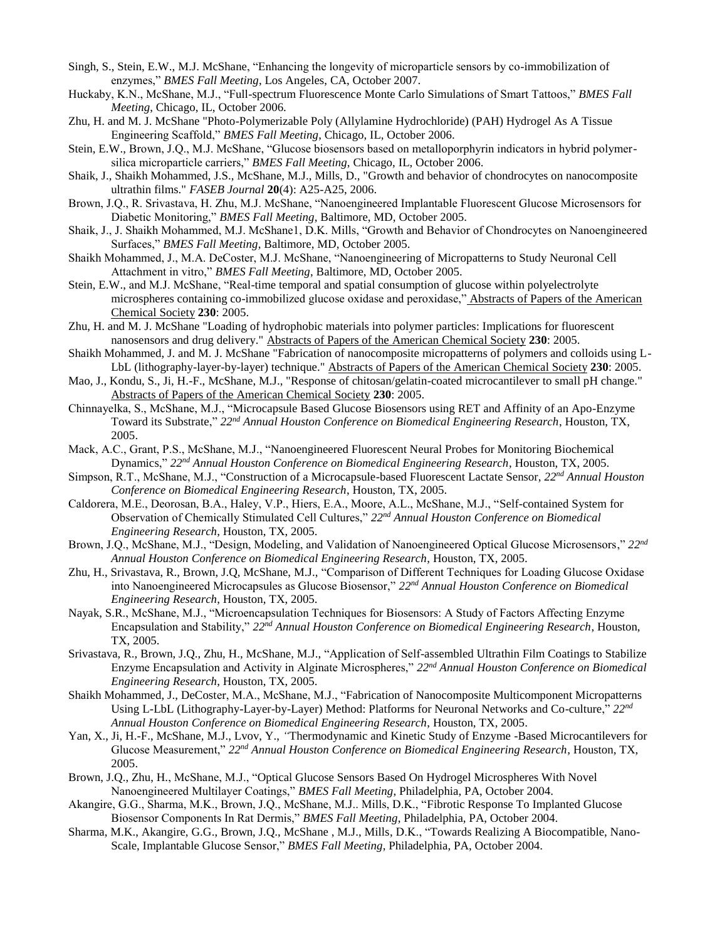- Singh, S., Stein, E.W., M.J. McShane, "Enhancing the longevity of microparticle sensors by co-immobilization of enzymes," *BMES Fall Meeting*, Los Angeles, CA, October 2007.
- Huckaby, K.N., McShane, M.J., "Full-spectrum Fluorescence Monte Carlo Simulations of Smart Tattoos," *BMES Fall Meeting*, Chicago, IL, October 2006.
- Zhu, H. and M. J. McShane "Photo-Polymerizable Poly (Allylamine Hydrochloride) (PAH) Hydrogel As A Tissue Engineering Scaffold," *BMES Fall Meeting*, Chicago, IL, October 2006.
- Stein, E.W., Brown, J.Q., M.J. McShane, "Glucose biosensors based on metalloporphyrin indicators in hybrid polymersilica microparticle carriers," *BMES Fall Meeting*, Chicago, IL, October 2006.
- Shaik, J., Shaikh Mohammed, J.S., McShane, M.J., Mills, D., "Growth and behavior of chondrocytes on nanocomposite ultrathin films." *FASEB Journal* **20**(4): A25-A25, 2006.
- Brown, J.Q., R. Srivastava, H. Zhu, M.J. McShane, "Nanoengineered Implantable Fluorescent Glucose Microsensors for Diabetic Monitoring," *BMES Fall Meeting*, Baltimore, MD, October 2005.
- Shaik, J., J. Shaikh Mohammed, M.J. McShane1, D.K. Mills, "Growth and Behavior of Chondrocytes on Nanoengineered Surfaces," *BMES Fall Meeting*, Baltimore, MD, October 2005.
- Shaikh Mohammed, J., M.A. DeCoster, M.J. McShane, "Nanoengineering of Micropatterns to Study Neuronal Cell Attachment in vitro," *BMES Fall Meeting*, Baltimore, MD, October 2005.
- Stein, E.W., and M.J. McShane, "Real-time temporal and spatial consumption of glucose within polyelectrolyte microspheres containing co-immobilized glucose oxidase and peroxidase," Abstracts of Papers of the American Chemical Society **230**: 2005.
- Zhu, H. and M. J. McShane "Loading of hydrophobic materials into polymer particles: Implications for fluorescent nanosensors and drug delivery." Abstracts of Papers of the American Chemical Society **230**: 2005.
- Shaikh Mohammed, J. and M. J. McShane "Fabrication of nanocomposite micropatterns of polymers and colloids using L-LbL (lithography-layer-by-layer) technique." Abstracts of Papers of the American Chemical Society **230**: 2005.
- Mao, J., Kondu, S., Ji, H.-F., McShane, M.J., "Response of chitosan/gelatin-coated microcantilever to small pH change." Abstracts of Papers of the American Chemical Society **230**: 2005.
- Chinnayelka, S., McShane, M.J., "Microcapsule Based Glucose Biosensors using RET and Affinity of an Apo-Enzyme Toward its Substrate," *22nd Annual Houston Conference on Biomedical Engineering Research*, Houston, TX, 2005.
- Mack, A.C., Grant, P.S., McShane, M.J., "Nanoengineered Fluorescent Neural Probes for Monitoring Biochemical Dynamics," *22nd Annual Houston Conference on Biomedical Engineering Research*, Houston, TX, 2005.
- Simpson, R.T., McShane, M.J., "Construction of a Microcapsule-based Fluorescent Lactate Sensor, *22nd Annual Houston Conference on Biomedical Engineering Research*, Houston, TX, 2005.
- Caldorera, M.E., Deorosan, B.A., Haley, V.P., Hiers, E.A., Moore, A.L., McShane, M.J., "Self-contained System for Observation of Chemically Stimulated Cell Cultures," *22nd Annual Houston Conference on Biomedical Engineering Research*, Houston, TX, 2005.
- Brown, J.Q., McShane, M.J., "Design, Modeling, and Validation of Nanoengineered Optical Glucose Microsensors," *22nd Annual Houston Conference on Biomedical Engineering Research*, Houston, TX, 2005.
- Zhu, H., Srivastava, R., Brown, J.Q, McShane, M.J., "Comparison of Different Techniques for Loading Glucose Oxidase into Nanoengineered Microcapsules as Glucose Biosensor," *22nd Annual Houston Conference on Biomedical Engineering Research*, Houston, TX, 2005.
- Nayak, S.R., McShane, M.J., "Microencapsulation Techniques for Biosensors: A Study of Factors Affecting Enzyme Encapsulation and Stability," *22nd Annual Houston Conference on Biomedical Engineering Research*, Houston, TX, 2005.
- Srivastava, R., Brown, J.Q., Zhu, H., McShane, M.J., "Application of Self-assembled Ultrathin Film Coatings to Stabilize Enzyme Encapsulation and Activity in Alginate Microspheres," *22nd Annual Houston Conference on Biomedical Engineering Research*, Houston, TX, 2005.
- Shaikh Mohammed, J., DeCoster, M.A., McShane, M.J., "Fabrication of Nanocomposite Multicomponent Micropatterns Using L-LbL (Lithography-Layer-by-Layer) Method: Platforms for Neuronal Networks and Co-culture," *22nd Annual Houston Conference on Biomedical Engineering Research*, Houston, TX, 2005.
- Yan, X., Ji, H.-F., McShane, M.J., Lvov, Y., *"*Thermodynamic and Kinetic Study of Enzyme -Based Microcantilevers for Glucose Measurement," *22nd Annual Houston Conference on Biomedical Engineering Research*, Houston, TX, 2005.
- Brown, J.Q., Zhu, H., McShane, M.J., "Optical Glucose Sensors Based On Hydrogel Microspheres With Novel Nanoengineered Multilayer Coatings," *BMES Fall Meeting*, Philadelphia, PA, October 2004.
- Akangire, G.G., Sharma, M.K., Brown, J.Q., McShane, M.J.. Mills, D.K., "Fibrotic Response To Implanted Glucose Biosensor Components In Rat Dermis," *BMES Fall Meeting*, Philadelphia, PA, October 2004.
- Sharma, M.K., Akangire, G.G., Brown, J.Q., McShane , M.J., Mills, D.K., "Towards Realizing A Biocompatible, Nano-Scale, Implantable Glucose Sensor," *BMES Fall Meeting*, Philadelphia, PA, October 2004.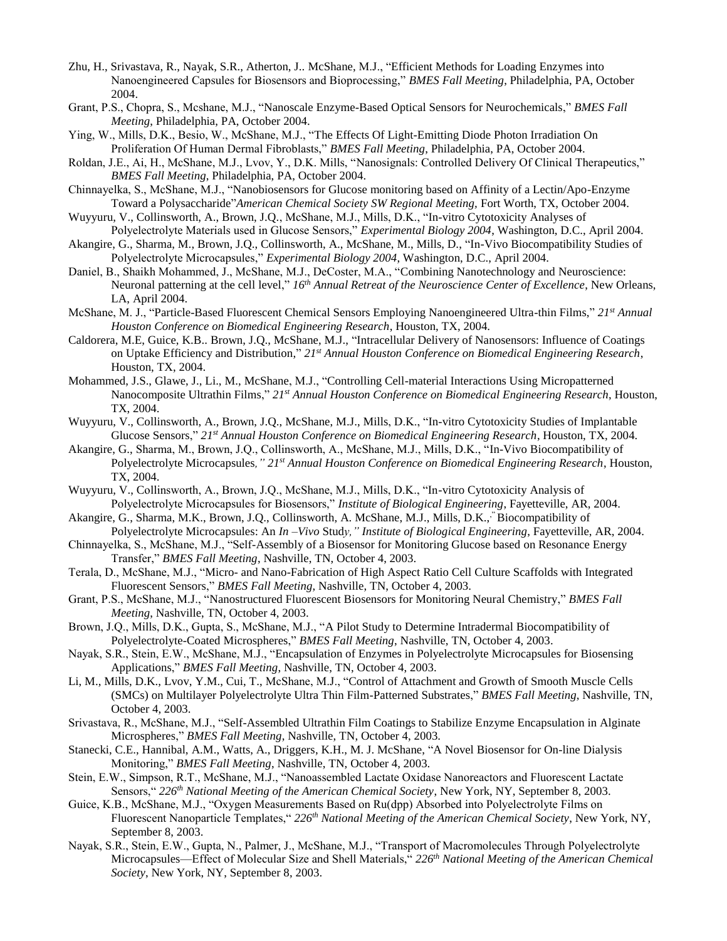- Zhu, H., Srivastava, R., Nayak, S.R., Atherton, J.. McShane, M.J., "Efficient Methods for Loading Enzymes into Nanoengineered Capsules for Biosensors and Bioprocessing," *BMES Fall Meeting*, Philadelphia, PA, October 2004.
- Grant, P.S., Chopra, S., Mcshane, M.J., "Nanoscale Enzyme-Based Optical Sensors for Neurochemicals," *BMES Fall Meeting*, Philadelphia, PA, October 2004.
- Ying, W., Mills, D.K., Besio, W., McShane, M.J., "The Effects Of Light-Emitting Diode Photon Irradiation On Proliferation Of Human Dermal Fibroblasts," *BMES Fall Meeting*, Philadelphia, PA, October 2004.
- Roldan, J.E., Ai, H., McShane, M.J., Lvov, Y., D.K. Mills, "Nanosignals: Controlled Delivery Of Clinical Therapeutics," *BMES Fall Meeting*, Philadelphia, PA, October 2004.
- Chinnayelka, S., McShane, M.J., "Nanobiosensors for Glucose monitoring based on Affinity of a Lectin/Apo-Enzyme Toward a Polysaccharide"*American Chemical Society SW Regional Meeting,* Fort Worth, TX, October 2004.
- Wuyyuru, V., Collinsworth, A., Brown, J.Q., McShane, M.J., Mills, D.K., "In-vitro Cytotoxicity Analyses of Polyelectrolyte Materials used in Glucose Sensors," *Experimental Biology 2004*, Washington, D.C., April 2004.
- Akangire, G., Sharma, M., Brown, J.Q., Collinsworth, A., McShane, M., Mills, D., "In-Vivo Biocompatibility Studies of Polyelectrolyte Microcapsules," *Experimental Biology 2004*, Washington, D.C., April 2004.
- Daniel, B., Shaikh Mohammed, J., McShane, M.J., DeCoster, M.A., "Combining Nanotechnology and Neuroscience: Neuronal patterning at the cell level," *16th Annual Retreat of the Neuroscience Center of Excellence*, New Orleans, LA, April 2004.
- McShane, M. J., "Particle-Based Fluorescent Chemical Sensors Employing Nanoengineered Ultra-thin Films," *21st Annual Houston Conference on Biomedical Engineering Research*, Houston, TX, 2004.
- Caldorera, M.E, Guice, K.B.. Brown, J.Q., McShane, M.J., "Intracellular Delivery of Nanosensors: Influence of Coatings on Uptake Efficiency and Distribution," *21st Annual Houston Conference on Biomedical Engineering Research*, Houston, TX, 2004.
- Mohammed, J.S., Glawe, J., Li., M., McShane, M.J., "Controlling Cell-material Interactions Using Micropatterned Nanocomposite Ultrathin Films," *21st Annual Houston Conference on Biomedical Engineering Research*, Houston, TX, 2004.
- Wuyyuru, V., Collinsworth, A., Brown, J.Q., McShane, M.J., Mills, D.K., "In-vitro Cytotoxicity Studies of Implantable Glucose Sensors," *21st Annual Houston Conference on Biomedical Engineering Research*, Houston, TX, 2004.
- Akangire, G., Sharma, M., Brown, J.Q., Collinsworth, A., McShane, M.J., Mills, D.K., "In-Vivo Biocompatibility of Polyelectrolyte Microcapsules*," 21st Annual Houston Conference on Biomedical Engineering Research*, Houston, TX, 2004.
- Wuyyuru, V., Collinsworth, A., Brown, J.Q., McShane, M.J., Mills, D.K., "In-vitro Cytotoxicity Analysis of Polyelectrolyte Microcapsules for Biosensors," *Institute of Biological Engineering*, Fayetteville, AR, 2004.
- Akangire, G., Sharma, M.K., Brown, J.Q., Collinsworth, A. McShane, M.J., Mills, D.K.," Biocompatibility of Polyelectrolyte Microcapsules: An *In –Vivo* Stud*y," Institute of Biological Engineering*, Fayetteville, AR, 2004.
- Chinnayelka, S., McShane, M.J., "Self-Assembly of a Biosensor for Monitoring Glucose based on Resonance Energy Transfer," *BMES Fall Meeting*, Nashville, TN, October 4, 2003.
- Terala, D., McShane, M.J., "Micro- and Nano-Fabrication of High Aspect Ratio Cell Culture Scaffolds with Integrated Fluorescent Sensors," *BMES Fall Meeting*, Nashville, TN, October 4, 2003.
- Grant, P.S., McShane, M.J., "Nanostructured Fluorescent Biosensors for Monitoring Neural Chemistry," *BMES Fall Meeting*, Nashville, TN, October 4, 2003.
- Brown, J.Q., Mills, D.K., Gupta, S., McShane, M.J., "A Pilot Study to Determine Intradermal Biocompatibility of Polyelectrolyte-Coated Microspheres," *BMES Fall Meeting*, Nashville, TN, October 4, 2003.
- Nayak, S.R., Stein, E.W., McShane, M.J., "Encapsulation of Enzymes in Polyelectrolyte Microcapsules for Biosensing Applications," *BMES Fall Meeting*, Nashville, TN, October 4, 2003.
- Li, M., Mills, D.K., Lvov, Y.M., Cui, T., McShane, M.J., "Control of Attachment and Growth of Smooth Muscle Cells (SMCs) on Multilayer Polyelectrolyte Ultra Thin Film-Patterned Substrates," *BMES Fall Meeting*, Nashville, TN, October 4, 2003.
- Srivastava, R., McShane, M.J., "Self-Assembled Ultrathin Film Coatings to Stabilize Enzyme Encapsulation in Alginate Microspheres," *BMES Fall Meeting*, Nashville, TN, October 4, 2003.
- Stanecki, C.E., Hannibal, A.M., Watts, A., Driggers, K.H., M. J. McShane, "A Novel Biosensor for On-line Dialysis Monitoring," *BMES Fall Meeting*, Nashville, TN, October 4, 2003.
- Stein, E.W., Simpson, R.T., McShane, M.J., "Nanoassembled Lactate Oxidase Nanoreactors and Fluorescent Lactate Sensors," *226th National Meeting of the American Chemical Society*, New York, NY, September 8, 2003.
- Guice, K.B., McShane, M.J., "Oxygen Measurements Based on Ru(dpp) Absorbed into Polyelectrolyte Films on Fluorescent Nanoparticle Templates," *226th National Meeting of the American Chemical Society*, New York, NY, September 8, 2003.
- Nayak, S.R., Stein, E.W., Gupta, N., Palmer, J., McShane, M.J., "Transport of Macromolecules Through Polyelectrolyte Microcapsules—Effect of Molecular Size and Shell Materials," *226th National Meeting of the American Chemical Society*, New York, NY, September 8, 2003.